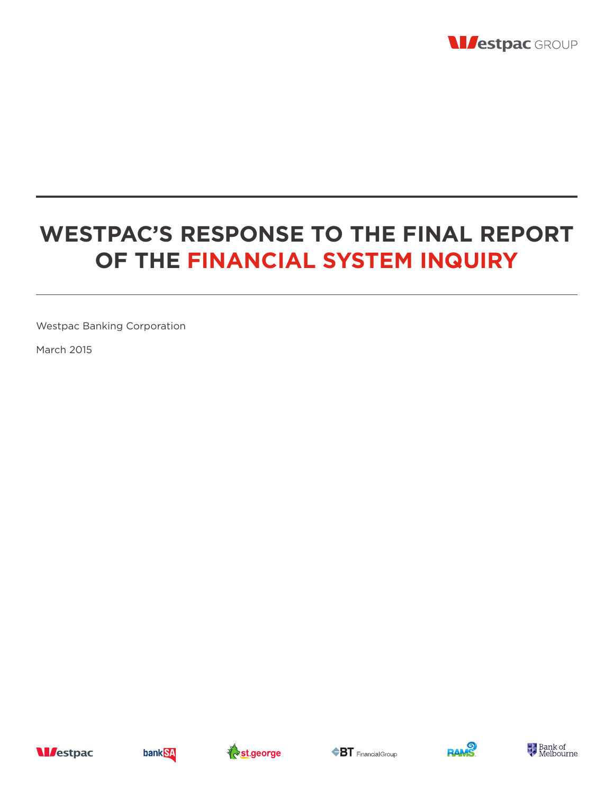

# **WESTPAC'S RESPONSE TO THE FINAL REPORT OF THE FINANCIAL SYSTEM INQUIRY**

Westpac Banking Corporation

March 2015











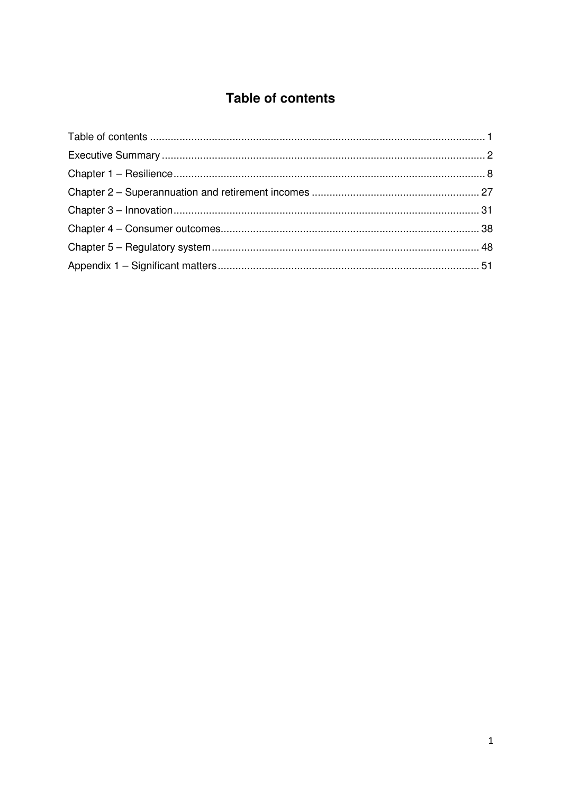# **Table of contents**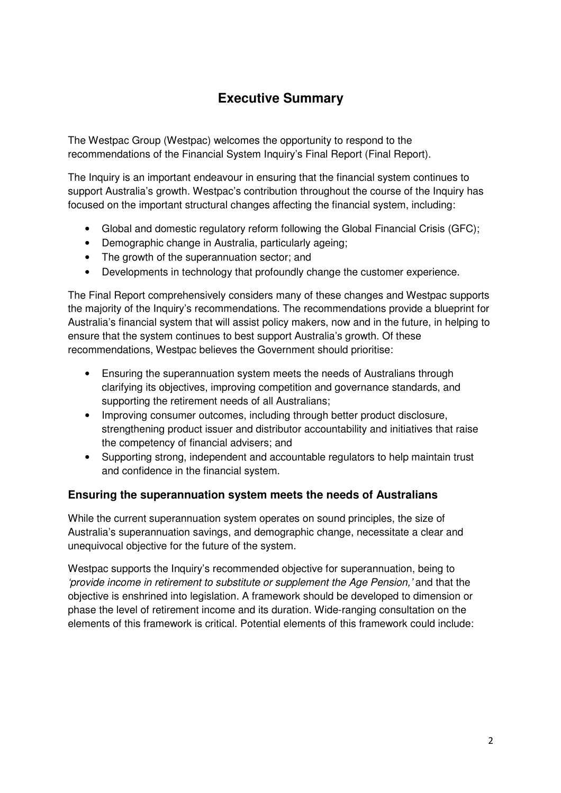# **Executive Summary**

The Westpac Group (Westpac) welcomes the opportunity to respond to the recommendations of the Financial System Inquiry's Final Report (Final Report).

The Inquiry is an important endeavour in ensuring that the financial system continues to support Australia's growth. Westpac's contribution throughout the course of the Inquiry has focused on the important structural changes affecting the financial system, including:

- Global and domestic regulatory reform following the Global Financial Crisis (GFC);
- Demographic change in Australia, particularly ageing;
- The growth of the superannuation sector; and
- Developments in technology that profoundly change the customer experience.

The Final Report comprehensively considers many of these changes and Westpac supports the majority of the Inquiry's recommendations. The recommendations provide a blueprint for Australia's financial system that will assist policy makers, now and in the future, in helping to ensure that the system continues to best support Australia's growth. Of these recommendations, Westpac believes the Government should prioritise:

- Ensuring the superannuation system meets the needs of Australians through clarifying its objectives, improving competition and governance standards, and supporting the retirement needs of all Australians;
- Improving consumer outcomes, including through better product disclosure, strengthening product issuer and distributor accountability and initiatives that raise the competency of financial advisers; and
- Supporting strong, independent and accountable regulators to help maintain trust and confidence in the financial system.

### **Ensuring the superannuation system meets the needs of Australians**

While the current superannuation system operates on sound principles, the size of Australia's superannuation savings, and demographic change, necessitate a clear and unequivocal objective for the future of the system.

Westpac supports the Inquiry's recommended objective for superannuation, being to 'provide income in retirement to substitute or supplement the Age Pension,' and that the objective is enshrined into legislation. A framework should be developed to dimension or phase the level of retirement income and its duration. Wide-ranging consultation on the elements of this framework is critical. Potential elements of this framework could include: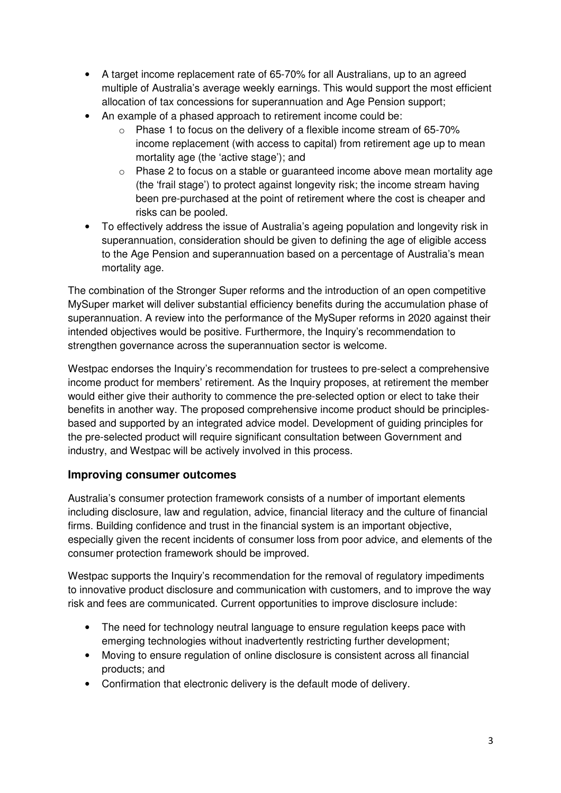- A target income replacement rate of 65-70% for all Australians, up to an agreed multiple of Australia's average weekly earnings. This would support the most efficient allocation of tax concessions for superannuation and Age Pension support;
- An example of a phased approach to retirement income could be:
	- o Phase 1 to focus on the delivery of a flexible income stream of 65-70% income replacement (with access to capital) from retirement age up to mean mortality age (the 'active stage'); and
	- $\circ$  Phase 2 to focus on a stable or guaranteed income above mean mortality age (the 'frail stage') to protect against longevity risk; the income stream having been pre-purchased at the point of retirement where the cost is cheaper and risks can be pooled.
- To effectively address the issue of Australia's ageing population and longevity risk in superannuation, consideration should be given to defining the age of eligible access to the Age Pension and superannuation based on a percentage of Australia's mean mortality age.

The combination of the Stronger Super reforms and the introduction of an open competitive MySuper market will deliver substantial efficiency benefits during the accumulation phase of superannuation. A review into the performance of the MySuper reforms in 2020 against their intended objectives would be positive. Furthermore, the Inquiry's recommendation to strengthen governance across the superannuation sector is welcome.

Westpac endorses the Inquiry's recommendation for trustees to pre-select a comprehensive income product for members' retirement. As the Inquiry proposes, at retirement the member would either give their authority to commence the pre-selected option or elect to take their benefits in another way. The proposed comprehensive income product should be principlesbased and supported by an integrated advice model. Development of guiding principles for the pre-selected product will require significant consultation between Government and industry, and Westpac will be actively involved in this process.

### **Improving consumer outcomes**

Australia's consumer protection framework consists of a number of important elements including disclosure, law and regulation, advice, financial literacy and the culture of financial firms. Building confidence and trust in the financial system is an important objective, especially given the recent incidents of consumer loss from poor advice, and elements of the consumer protection framework should be improved.

Westpac supports the Inquiry's recommendation for the removal of regulatory impediments to innovative product disclosure and communication with customers, and to improve the way risk and fees are communicated. Current opportunities to improve disclosure include:

- The need for technology neutral language to ensure regulation keeps pace with emerging technologies without inadvertently restricting further development;
- Moving to ensure regulation of online disclosure is consistent across all financial products; and
- Confirmation that electronic delivery is the default mode of delivery.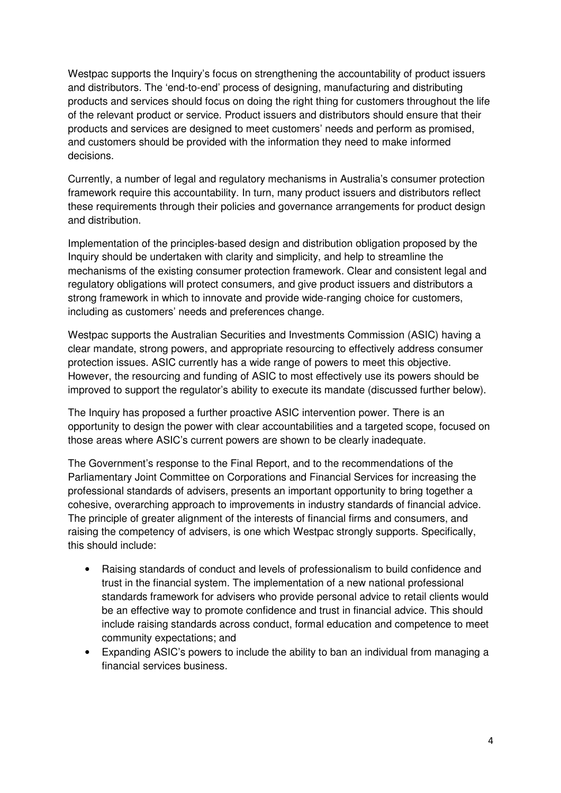Westpac supports the Inquiry's focus on strengthening the accountability of product issuers and distributors. The 'end-to-end' process of designing, manufacturing and distributing products and services should focus on doing the right thing for customers throughout the life of the relevant product or service. Product issuers and distributors should ensure that their products and services are designed to meet customers' needs and perform as promised, and customers should be provided with the information they need to make informed decisions.

Currently, a number of legal and regulatory mechanisms in Australia's consumer protection framework require this accountability. In turn, many product issuers and distributors reflect these requirements through their policies and governance arrangements for product design and distribution.

Implementation of the principles-based design and distribution obligation proposed by the Inquiry should be undertaken with clarity and simplicity, and help to streamline the mechanisms of the existing consumer protection framework. Clear and consistent legal and regulatory obligations will protect consumers, and give product issuers and distributors a strong framework in which to innovate and provide wide-ranging choice for customers, including as customers' needs and preferences change.

Westpac supports the Australian Securities and Investments Commission (ASIC) having a clear mandate, strong powers, and appropriate resourcing to effectively address consumer protection issues. ASIC currently has a wide range of powers to meet this objective. However, the resourcing and funding of ASIC to most effectively use its powers should be improved to support the regulator's ability to execute its mandate (discussed further below).

The Inquiry has proposed a further proactive ASIC intervention power. There is an opportunity to design the power with clear accountabilities and a targeted scope, focused on those areas where ASIC's current powers are shown to be clearly inadequate.

The Government's response to the Final Report, and to the recommendations of the Parliamentary Joint Committee on Corporations and Financial Services for increasing the professional standards of advisers, presents an important opportunity to bring together a cohesive, overarching approach to improvements in industry standards of financial advice. The principle of greater alignment of the interests of financial firms and consumers, and raising the competency of advisers, is one which Westpac strongly supports. Specifically, this should include:

- Raising standards of conduct and levels of professionalism to build confidence and trust in the financial system. The implementation of a new national professional standards framework for advisers who provide personal advice to retail clients would be an effective way to promote confidence and trust in financial advice. This should include raising standards across conduct, formal education and competence to meet community expectations; and
- Expanding ASIC's powers to include the ability to ban an individual from managing a financial services business.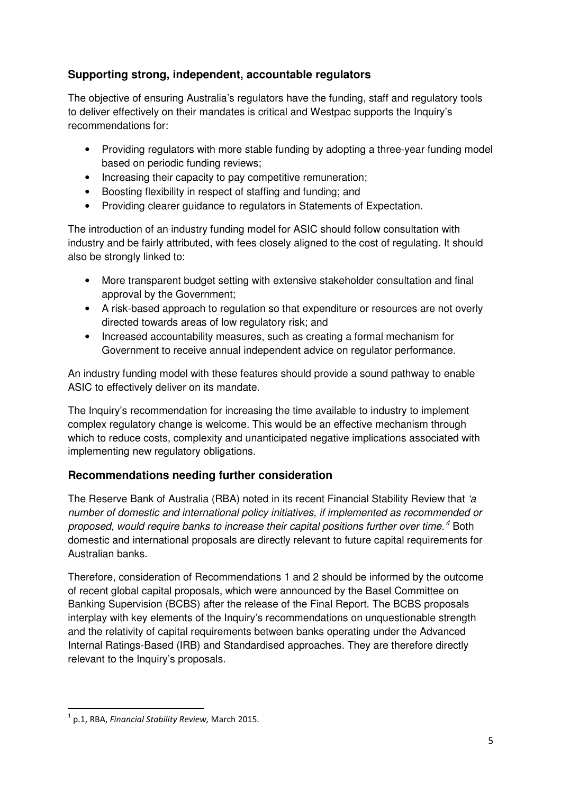# **Supporting strong, independent, accountable regulators**

The objective of ensuring Australia's regulators have the funding, staff and regulatory tools to deliver effectively on their mandates is critical and Westpac supports the Inquiry's recommendations for:

- Providing regulators with more stable funding by adopting a three-year funding model based on periodic funding reviews;
- Increasing their capacity to pay competitive remuneration;
- Boosting flexibility in respect of staffing and funding; and
- Providing clearer guidance to regulators in Statements of Expectation.

The introduction of an industry funding model for ASIC should follow consultation with industry and be fairly attributed, with fees closely aligned to the cost of regulating. It should also be strongly linked to:

- More transparent budget setting with extensive stakeholder consultation and final approval by the Government;
- A risk-based approach to regulation so that expenditure or resources are not overly directed towards areas of low regulatory risk; and
- Increased accountability measures, such as creating a formal mechanism for Government to receive annual independent advice on regulator performance.

An industry funding model with these features should provide a sound pathway to enable ASIC to effectively deliver on its mandate.

The Inquiry's recommendation for increasing the time available to industry to implement complex regulatory change is welcome. This would be an effective mechanism through which to reduce costs, complexity and unanticipated negative implications associated with implementing new regulatory obligations.

### **Recommendations needing further consideration**

The Reserve Bank of Australia (RBA) noted in its recent Financial Stability Review that 'a number of domestic and international policy initiatives, if implemented as recommended or proposed, would require banks to increase their capital positions further over time.'<sup>1</sup> Both domestic and international proposals are directly relevant to future capital requirements for Australian banks.

Therefore, consideration of Recommendations 1 and 2 should be informed by the outcome of recent global capital proposals, which were announced by the Basel Committee on Banking Supervision (BCBS) after the release of the Final Report. The BCBS proposals interplay with key elements of the Inquiry's recommendations on unquestionable strength and the relativity of capital requirements between banks operating under the Advanced Internal Ratings-Based (IRB) and Standardised approaches. They are therefore directly relevant to the Inquiry's proposals.

 $^1$  p.1, RBA, Financial Stability Review, March 2015.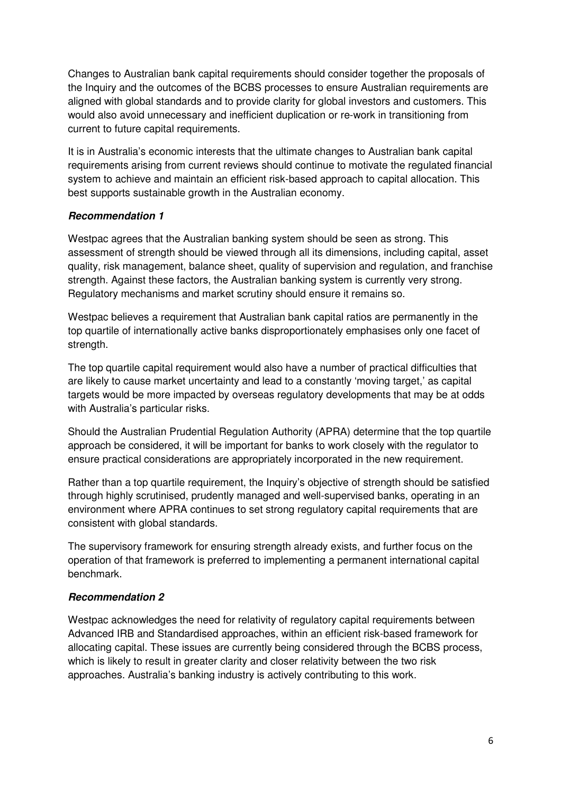Changes to Australian bank capital requirements should consider together the proposals of the Inquiry and the outcomes of the BCBS processes to ensure Australian requirements are aligned with global standards and to provide clarity for global investors and customers. This would also avoid unnecessary and inefficient duplication or re-work in transitioning from current to future capital requirements.

It is in Australia's economic interests that the ultimate changes to Australian bank capital requirements arising from current reviews should continue to motivate the regulated financial system to achieve and maintain an efficient risk-based approach to capital allocation. This best supports sustainable growth in the Australian economy.

#### **Recommendation 1**

Westpac agrees that the Australian banking system should be seen as strong. This assessment of strength should be viewed through all its dimensions, including capital, asset quality, risk management, balance sheet, quality of supervision and regulation, and franchise strength. Against these factors, the Australian banking system is currently very strong. Regulatory mechanisms and market scrutiny should ensure it remains so.

Westpac believes a requirement that Australian bank capital ratios are permanently in the top quartile of internationally active banks disproportionately emphasises only one facet of strength.

The top quartile capital requirement would also have a number of practical difficulties that are likely to cause market uncertainty and lead to a constantly 'moving target,' as capital targets would be more impacted by overseas regulatory developments that may be at odds with Australia's particular risks.

Should the Australian Prudential Regulation Authority (APRA) determine that the top quartile approach be considered, it will be important for banks to work closely with the regulator to ensure practical considerations are appropriately incorporated in the new requirement.

Rather than a top quartile requirement, the Inquiry's objective of strength should be satisfied through highly scrutinised, prudently managed and well-supervised banks, operating in an environment where APRA continues to set strong regulatory capital requirements that are consistent with global standards.

The supervisory framework for ensuring strength already exists, and further focus on the operation of that framework is preferred to implementing a permanent international capital benchmark.

#### **Recommendation 2**

Westpac acknowledges the need for relativity of regulatory capital requirements between Advanced IRB and Standardised approaches, within an efficient risk-based framework for allocating capital. These issues are currently being considered through the BCBS process, which is likely to result in greater clarity and closer relativity between the two risk approaches. Australia's banking industry is actively contributing to this work.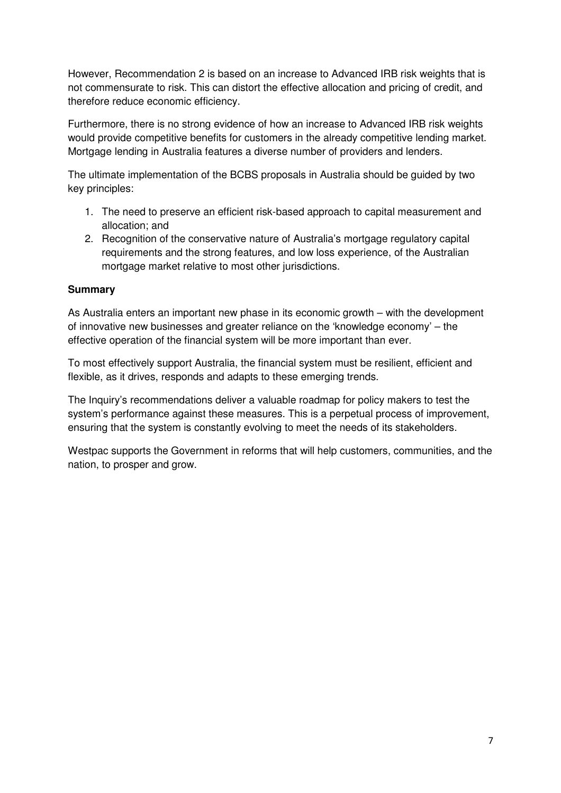However, Recommendation 2 is based on an increase to Advanced IRB risk weights that is not commensurate to risk. This can distort the effective allocation and pricing of credit, and therefore reduce economic efficiency.

Furthermore, there is no strong evidence of how an increase to Advanced IRB risk weights would provide competitive benefits for customers in the already competitive lending market. Mortgage lending in Australia features a diverse number of providers and lenders.

The ultimate implementation of the BCBS proposals in Australia should be guided by two key principles:

- 1. The need to preserve an efficient risk-based approach to capital measurement and allocation; and
- 2. Recognition of the conservative nature of Australia's mortgage regulatory capital requirements and the strong features, and low loss experience, of the Australian mortgage market relative to most other jurisdictions.

#### **Summary**

As Australia enters an important new phase in its economic growth – with the development of innovative new businesses and greater reliance on the 'knowledge economy' – the effective operation of the financial system will be more important than ever.

To most effectively support Australia, the financial system must be resilient, efficient and flexible, as it drives, responds and adapts to these emerging trends.

The Inquiry's recommendations deliver a valuable roadmap for policy makers to test the system's performance against these measures. This is a perpetual process of improvement, ensuring that the system is constantly evolving to meet the needs of its stakeholders.

Westpac supports the Government in reforms that will help customers, communities, and the nation, to prosper and grow.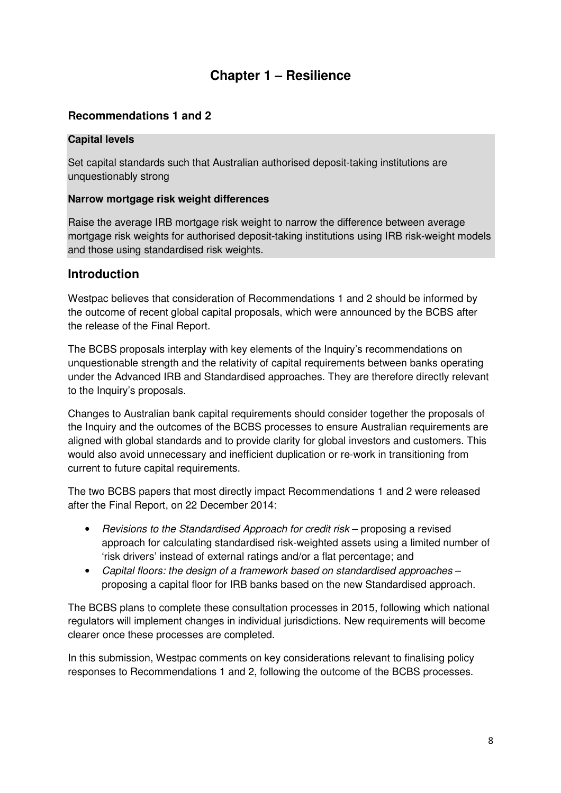# **Chapter 1 – Resilience**

# **Recommendations 1 and 2**

#### **Capital levels**

Set capital standards such that Australian authorised deposit-taking institutions are unquestionably strong

#### **Narrow mortgage risk weight differences**

Raise the average IRB mortgage risk weight to narrow the difference between average mortgage risk weights for authorised deposit-taking institutions using IRB risk-weight models and those using standardised risk weights.

### **Introduction**

Westpac believes that consideration of Recommendations 1 and 2 should be informed by the outcome of recent global capital proposals, which were announced by the BCBS after the release of the Final Report.

The BCBS proposals interplay with key elements of the Inquiry's recommendations on unquestionable strength and the relativity of capital requirements between banks operating under the Advanced IRB and Standardised approaches. They are therefore directly relevant to the Inquiry's proposals.

Changes to Australian bank capital requirements should consider together the proposals of the Inquiry and the outcomes of the BCBS processes to ensure Australian requirements are aligned with global standards and to provide clarity for global investors and customers. This would also avoid unnecessary and inefficient duplication or re-work in transitioning from current to future capital requirements.

The two BCBS papers that most directly impact Recommendations 1 and 2 were released after the Final Report, on 22 December 2014:

- Revisions to the Standardised Approach for credit risk proposing a revised approach for calculating standardised risk-weighted assets using a limited number of 'risk drivers' instead of external ratings and/or a flat percentage; and
- Capital floors: the design of a framework based on standardised approaches proposing a capital floor for IRB banks based on the new Standardised approach.

The BCBS plans to complete these consultation processes in 2015, following which national regulators will implement changes in individual jurisdictions. New requirements will become clearer once these processes are completed.

In this submission, Westpac comments on key considerations relevant to finalising policy responses to Recommendations 1 and 2, following the outcome of the BCBS processes.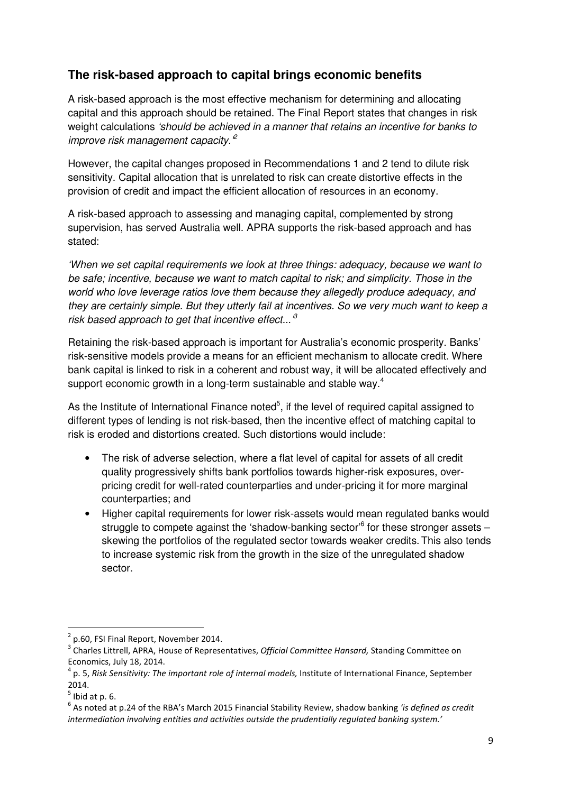# **The risk-based approach to capital brings economic benefits**

A risk-based approach is the most effective mechanism for determining and allocating capital and this approach should be retained. The Final Report states that changes in risk weight calculations 'should be achieved in a manner that retains an incentive for banks to improve risk management capacity. $e^2$ 

However, the capital changes proposed in Recommendations 1 and 2 tend to dilute risk sensitivity. Capital allocation that is unrelated to risk can create distortive effects in the provision of credit and impact the efficient allocation of resources in an economy.

A risk-based approach to assessing and managing capital, complemented by strong supervision, has served Australia well. APRA supports the risk-based approach and has stated:

'When we set capital requirements we look at three things: adequacy, because we want to be safe; incentive, because we want to match capital to risk; and simplicity. Those in the world who love leverage ratios love them because they allegedly produce adequacy, and they are certainly simple. But they utterly fail at incentives. So we very much want to keep a risk based approach to get that incentive effect...<sup>8</sup>

Retaining the risk-based approach is important for Australia's economic prosperity. Banks' risk-sensitive models provide a means for an efficient mechanism to allocate credit. Where bank capital is linked to risk in a coherent and robust way, it will be allocated effectively and support economic growth in a long-term sustainable and stable way.<sup>4</sup>

As the Institute of International Finance noted $5$ , if the level of required capital assigned to different types of lending is not risk-based, then the incentive effect of matching capital to risk is eroded and distortions created. Such distortions would include:

- The risk of adverse selection, where a flat level of capital for assets of all credit quality progressively shifts bank portfolios towards higher-risk exposures, overpricing credit for well-rated counterparties and under-pricing it for more marginal counterparties; and
- Higher capital requirements for lower risk-assets would mean regulated banks would struggle to compete against the 'shadow-banking sector'<sup>6</sup> for these stronger assets skewing the portfolios of the regulated sector towards weaker credits. This also tends to increase systemic risk from the growth in the size of the unregulated shadow sector.

 $2$  p.60, FSI Final Report, November 2014.

<sup>&</sup>lt;sup>3</sup> Charles Littrell, APRA, House of Representatives, *Official Committee Hansard, S*tanding Committee on Economics, July 18, 2014.

<sup>4</sup> p. 5, Risk Sensitivity: The important role of internal models, Institute of International Finance, September 2014.

 $<sup>5</sup>$  Ibid at p. 6.</sup>

 $^6$  As noted at p.24 of the RBA's March 2015 Financial Stability Review, shadow banking *'is defined as credit* intermediation involving entities and activities outside the prudentially regulated banking system.'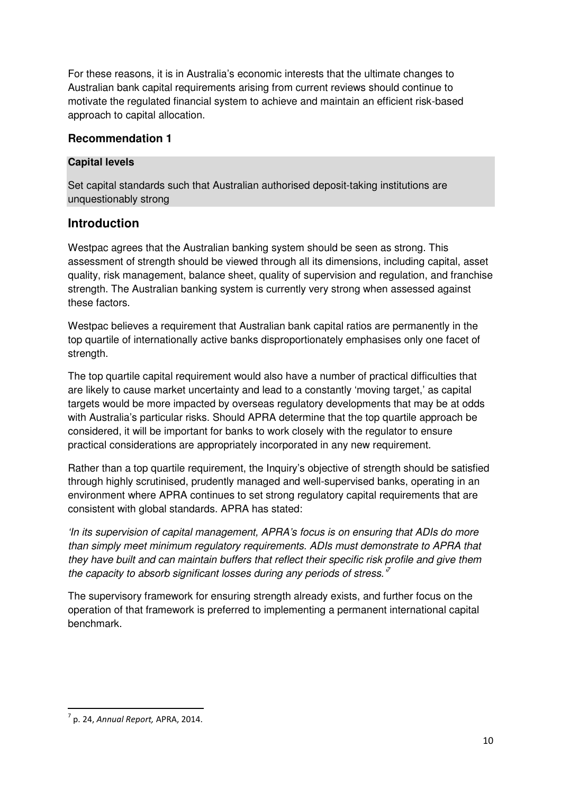For these reasons, it is in Australia's economic interests that the ultimate changes to Australian bank capital requirements arising from current reviews should continue to motivate the regulated financial system to achieve and maintain an efficient risk-based approach to capital allocation.

### **Recommendation 1**

#### **Capital levels**

Set capital standards such that Australian authorised deposit-taking institutions are unquestionably strong

# **Introduction**

Westpac agrees that the Australian banking system should be seen as strong. This assessment of strength should be viewed through all its dimensions, including capital, asset quality, risk management, balance sheet, quality of supervision and regulation, and franchise strength. The Australian banking system is currently very strong when assessed against these factors.

Westpac believes a requirement that Australian bank capital ratios are permanently in the top quartile of internationally active banks disproportionately emphasises only one facet of strength.

The top quartile capital requirement would also have a number of practical difficulties that are likely to cause market uncertainty and lead to a constantly 'moving target,' as capital targets would be more impacted by overseas regulatory developments that may be at odds with Australia's particular risks. Should APRA determine that the top quartile approach be considered, it will be important for banks to work closely with the regulator to ensure practical considerations are appropriately incorporated in any new requirement.

Rather than a top quartile requirement, the Inquiry's objective of strength should be satisfied through highly scrutinised, prudently managed and well-supervised banks, operating in an environment where APRA continues to set strong regulatory capital requirements that are consistent with global standards. APRA has stated:

'In its supervision of capital management, APRA's focus is on ensuring that ADIs do more than simply meet minimum regulatory requirements. ADIs must demonstrate to APRA that they have built and can maintain buffers that reflect their specific risk profile and give them the capacity to absorb significant losses during any periods of stress.<sup>"</sup>

The supervisory framework for ensuring strength already exists, and further focus on the operation of that framework is preferred to implementing a permanent international capital benchmark.

 $\overline{a}$  $^7$  p. 24, Annual Report, APRA, 2014.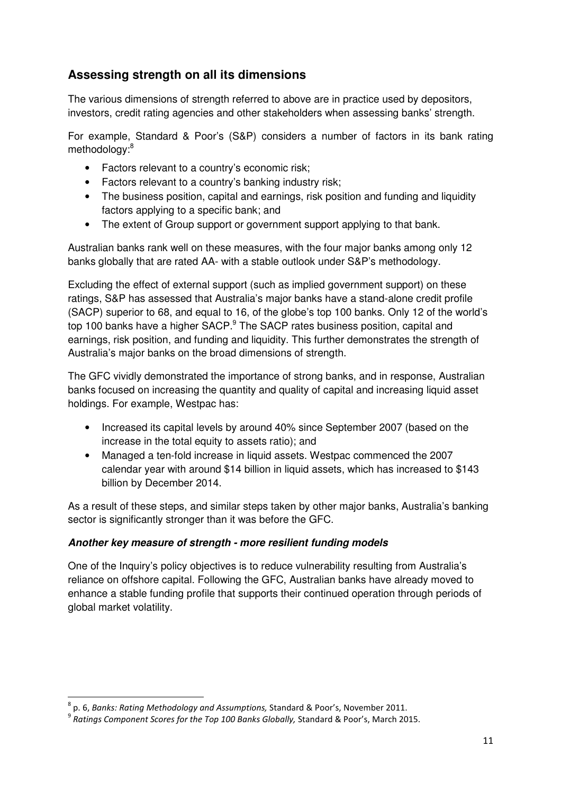# **Assessing strength on all its dimensions**

The various dimensions of strength referred to above are in practice used by depositors, investors, credit rating agencies and other stakeholders when assessing banks' strength.

For example, Standard & Poor's (S&P) considers a number of factors in its bank rating methodology:<sup>8</sup>

- Factors relevant to a country's economic risk;
- Factors relevant to a country's banking industry risk;
- The business position, capital and earnings, risk position and funding and liquidity factors applying to a specific bank; and
- The extent of Group support or government support applying to that bank.

Australian banks rank well on these measures, with the four major banks among only 12 banks globally that are rated AA- with a stable outlook under S&P's methodology.

Excluding the effect of external support (such as implied government support) on these ratings, S&P has assessed that Australia's major banks have a stand-alone credit profile (SACP) superior to 68, and equal to 16, of the globe's top 100 banks. Only 12 of the world's top 100 banks have a higher SACP.<sup>9</sup> The SACP rates business position, capital and earnings, risk position, and funding and liquidity. This further demonstrates the strength of Australia's major banks on the broad dimensions of strength.

The GFC vividly demonstrated the importance of strong banks, and in response, Australian banks focused on increasing the quantity and quality of capital and increasing liquid asset holdings. For example, Westpac has:

- Increased its capital levels by around 40% since September 2007 (based on the increase in the total equity to assets ratio); and
- Managed a ten-fold increase in liquid assets. Westpac commenced the 2007 calendar year with around \$14 billion in liquid assets, which has increased to \$143 billion by December 2014.

As a result of these steps, and similar steps taken by other major banks, Australia's banking sector is significantly stronger than it was before the GFC.

#### **Another key measure of strength - more resilient funding models**

One of the Inquiry's policy objectives is to reduce vulnerability resulting from Australia's reliance on offshore capital. Following the GFC, Australian banks have already moved to enhance a stable funding profile that supports their continued operation through periods of global market volatility.

 $\overline{\phantom{0}}$ 

<sup>8</sup> p. 6, Banks: Rating Methodology and Assumptions, Standard & Poor's, November 2011.

 $^9$  Ratings Component Scores for the Top 100 Banks Globally, Standard & Poor's, March 2015.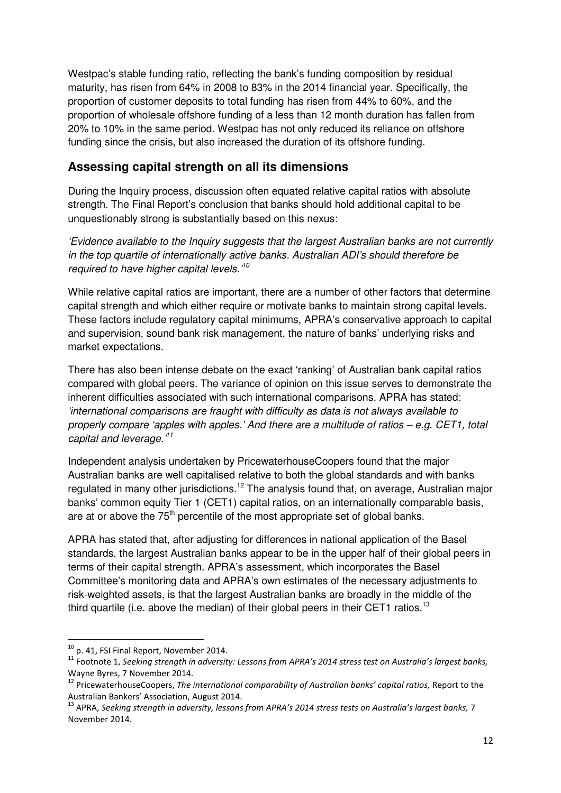Westpac's stable funding ratio, reflecting the bank's funding composition by residual maturity, has risen from 64% in 2008 to 83% in the 2014 financial year. Specifically, the proportion of customer deposits to total funding has risen from 44% to 60%, and the proportion of wholesale offshore funding of a less than 12 month duration has fallen from 20% to 10% in the same period. Westpac has not only reduced its reliance on offshore funding since the crisis, but also increased the duration of its offshore funding.

# **Assessing capital strength on all its dimensions**

During the Inquiry process, discussion often equated relative capital ratios with absolute strength. The Final Report's conclusion that banks should hold additional capital to be unquestionably strong is substantially based on this nexus:

'Evidence available to the Inquiry suggests that the largest Australian banks are not currently in the top quartile of internationally active banks. Australian ADI's should therefore be required to have higher capital levels.<sup>10</sup>

While relative capital ratios are important, there are a number of other factors that determine capital strength and which either require or motivate banks to maintain strong capital levels. These factors include regulatory capital minimums, APRA's conservative approach to capital and supervision, sound bank risk management, the nature of banks' underlying risks and market expectations.

There has also been intense debate on the exact 'ranking' of Australian bank capital ratios compared with global peers. The variance of opinion on this issue serves to demonstrate the inherent difficulties associated with such international comparisons. APRA has stated: 'international comparisons are fraught with difficulty as data is not always available to properly compare 'apples with apples.' And there are a multitude of ratios – e.g. CET1, total capital and leverage.<sup>11</sup>

Independent analysis undertaken by PricewaterhouseCoopers found that the major Australian banks are well capitalised relative to both the global standards and with banks regulated in many other jurisdictions.<sup>12</sup> The analysis found that, on average, Australian major banks' common equity Tier 1 (CET1) capital ratios, on an internationally comparable basis, are at or above the  $75<sup>th</sup>$  percentile of the most appropriate set of global banks.

APRA has stated that, after adjusting for differences in national application of the Basel standards, the largest Australian banks appear to be in the upper half of their global peers in terms of their capital strength. APRA's assessment, which incorporates the Basel Committee's monitoring data and APRA's own estimates of the necessary adjustments to risk-weighted assets, is that the largest Australian banks are broadly in the middle of the third quartile (i.e. above the median) of their global peers in their CET1 ratios.<sup>13</sup>

l

<sup>10</sup> p. 41, FSI Final Report, November 2014.

 $11$  Footnote 1, Seeking strength in adversity: Lessons from APRA's 2014 stress test on Australia's largest banks, Wayne Byres, 7 November 2014.

<sup>&</sup>lt;sup>12</sup> PricewaterhouseCoopers, The international comparability of Australian banks' capital ratios, Report to the Australian Bankers' Association, August 2014.

 $^{13}$  APRA, Seeking strength in adversity, lessons from APRA's 2014 stress tests on Australia's largest banks, 7 November 2014.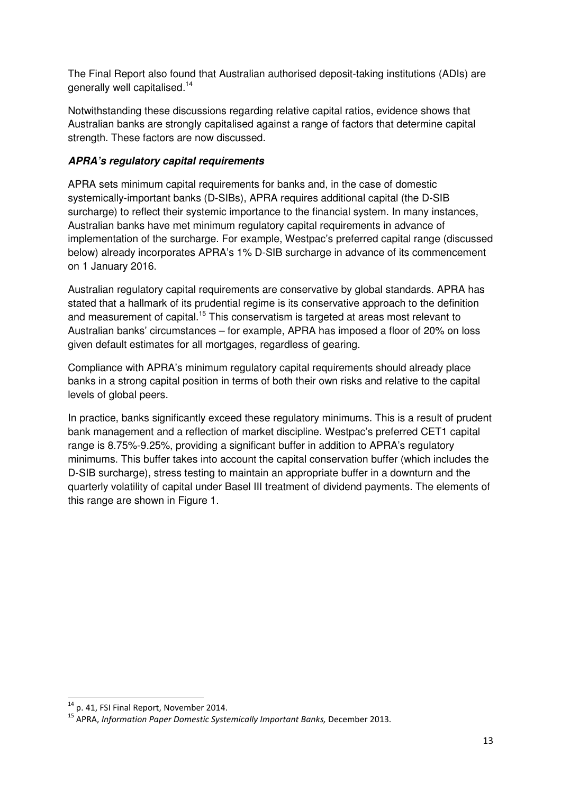The Final Report also found that Australian authorised deposit-taking institutions (ADIs) are generally well capitalised.<sup>14</sup>

Notwithstanding these discussions regarding relative capital ratios, evidence shows that Australian banks are strongly capitalised against a range of factors that determine capital strength. These factors are now discussed.

### **APRA's regulatory capital requirements**

APRA sets minimum capital requirements for banks and, in the case of domestic systemically-important banks (D-SIBs), APRA requires additional capital (the D-SIB surcharge) to reflect their systemic importance to the financial system. In many instances, Australian banks have met minimum regulatory capital requirements in advance of implementation of the surcharge. For example, Westpac's preferred capital range (discussed below) already incorporates APRA's 1% D-SIB surcharge in advance of its commencement on 1 January 2016.

Australian regulatory capital requirements are conservative by global standards. APRA has stated that a hallmark of its prudential regime is its conservative approach to the definition and measurement of capital.<sup>15</sup> This conservatism is targeted at areas most relevant to Australian banks' circumstances – for example, APRA has imposed a floor of 20% on loss given default estimates for all mortgages, regardless of gearing.

Compliance with APRA's minimum regulatory capital requirements should already place banks in a strong capital position in terms of both their own risks and relative to the capital levels of global peers.

In practice, banks significantly exceed these regulatory minimums. This is a result of prudent bank management and a reflection of market discipline. Westpac's preferred CET1 capital range is 8.75%-9.25%, providing a significant buffer in addition to APRA's regulatory minimums. This buffer takes into account the capital conservation buffer (which includes the D-SIB surcharge), stress testing to maintain an appropriate buffer in a downturn and the quarterly volatility of capital under Basel III treatment of dividend payments. The elements of this range are shown in Figure 1.

 $\overline{\phantom{0}}$ 

<sup>&</sup>lt;sup>14</sup> p. 41, FSI Final Report, November 2014.

 $<sup>15</sup>$  APRA, Information Paper Domestic Systemically Important Banks, December 2013.</sup>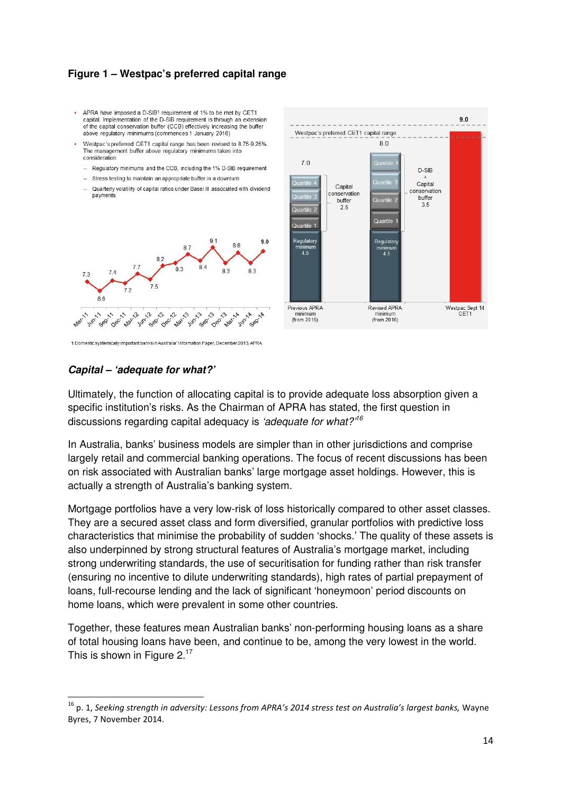#### **Figure 1 – Westpac's preferred capital range**

- . APRA have imposed a D-SIB1 requirement of 1% to be met by CET1 capital. Implementation of the D-SIB requirement is through an extension of the capital conservation buffer (CCB) effectively increasing the buffer above regulatory minimums (commences 1 January 2016)
- Westpac's preferred CET1 capital range has been revised to 8.75-9.25%. The management buffer above regulatory minimums takes into consideration
- Regulatory minimums and the CCB including the 1% D-SIB requirement
- Stress testing to maintain an appropriate buffer in a downturn
- Quarterly volatility of capital ratios under Basel III associated with dividend payments





# **Capital – 'adequate for what?'**

 $\overline{\phantom{0}}$ 

Ultimately, the function of allocating capital is to provide adequate loss absorption given a specific institution's risks. As the Chairman of APRA has stated, the first question in discussions regarding capital adequacy is *'adequate for what?'<sup>16</sup>* 

In Australia, banks' business models are simpler than in other jurisdictions and comprise largely retail and commercial banking operations. The focus of recent discussions has been on risk associated with Australian banks' large mortgage asset holdings. However, this is actually a strength of Australia's banking system.

Mortgage portfolios have a very low-risk of loss historically compared to other asset classes. They are a secured asset class and form diversified, granular portfolios with predictive loss characteristics that minimise the probability of sudden 'shocks.' The quality of these assets is also underpinned by strong structural features of Australia's mortgage market, including strong underwriting standards, the use of securitisation for funding rather than risk transfer (ensuring no incentive to dilute underwriting standards), high rates of partial prepayment of loans, full-recourse lending and the lack of significant 'honeymoon' period discounts on home loans, which were prevalent in some other countries.

Together, these features mean Australian banks' non-performing housing loans as a share of total housing loans have been, and continue to be, among the very lowest in the world. This is shown in Figure  $2^{17}$ 

 $16$  p. 1, Seeking strength in adversity: Lessons from APRA's 2014 stress test on Australia's largest banks, Wayne Byres, 7 November 2014.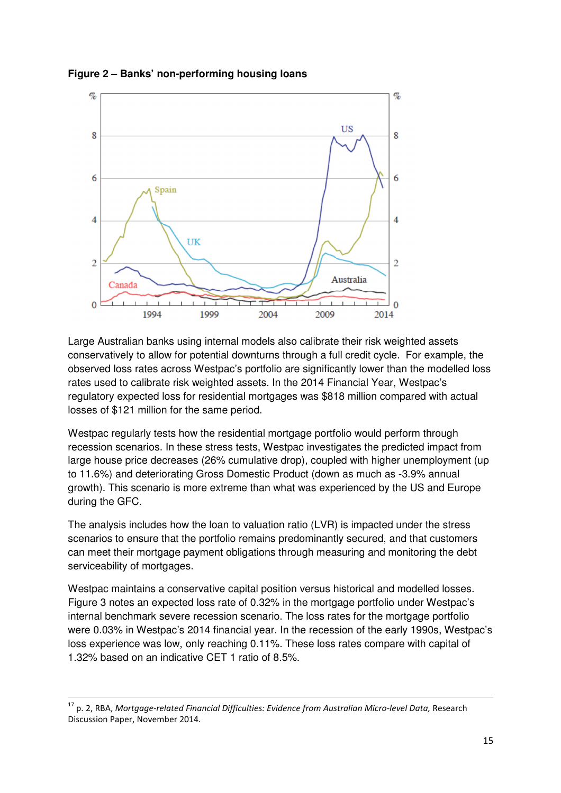



Large Australian banks using internal models also calibrate their risk weighted assets conservatively to allow for potential downturns through a full credit cycle. For example, the observed loss rates across Westpac's portfolio are significantly lower than the modelled loss rates used to calibrate risk weighted assets. In the 2014 Financial Year, Westpac's regulatory expected loss for residential mortgages was \$818 million compared with actual losses of \$121 million for the same period.

Westpac regularly tests how the residential mortgage portfolio would perform through recession scenarios. In these stress tests, Westpac investigates the predicted impact from large house price decreases (26% cumulative drop), coupled with higher unemployment (up to 11.6%) and deteriorating Gross Domestic Product (down as much as -3.9% annual growth). This scenario is more extreme than what was experienced by the US and Europe during the GFC.

The analysis includes how the loan to valuation ratio (LVR) is impacted under the stress scenarios to ensure that the portfolio remains predominantly secured, and that customers can meet their mortgage payment obligations through measuring and monitoring the debt serviceability of mortgages.

Westpac maintains a conservative capital position versus historical and modelled losses. Figure 3 notes an expected loss rate of 0.32% in the mortgage portfolio under Westpac's internal benchmark severe recession scenario. The loss rates for the mortgage portfolio were 0.03% in Westpac's 2014 financial year. In the recession of the early 1990s, Westpac's loss experience was low, only reaching 0.11%. These loss rates compare with capital of 1.32% based on an indicative CET 1 ratio of 8.5%.

l

 $17$  p. 2, RBA, Mortgage-related Financial Difficulties: Evidence from Australian Micro-level Data, Research Discussion Paper, November 2014.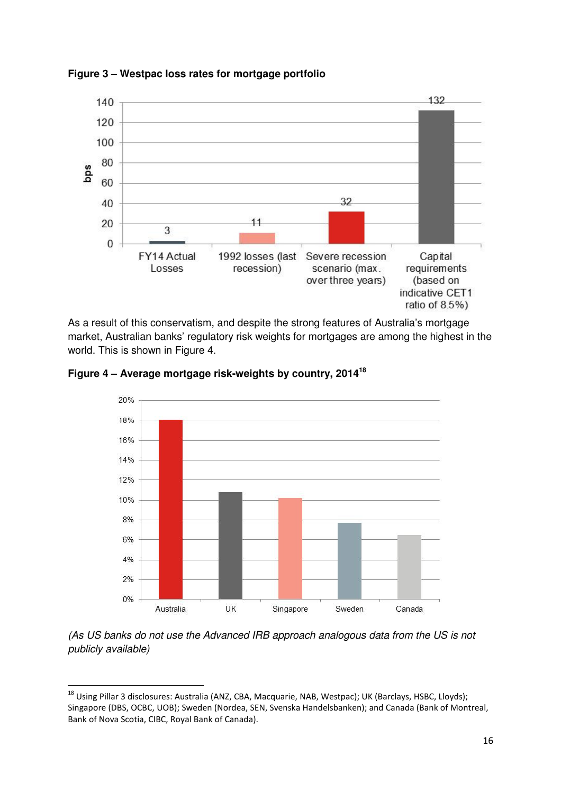



As a result of this conservatism, and despite the strong features of Australia's mortgage market, Australian banks' regulatory risk weights for mortgages are among the highest in the world. This is shown in Figure 4.





(As US banks do not use the Advanced IRB approach analogous data from the US is not publicly available)

<sup>&</sup>lt;sup>18</sup> Using Pillar 3 disclosures: Australia (ANZ, CBA, Macquarie, NAB, Westpac); UK (Barclays, HSBC, Lloyds); Singapore (DBS, OCBC, UOB); Sweden (Nordea, SEN, Svenska Handelsbanken); and Canada (Bank of Montreal, Bank of Nova Scotia, CIBC, Royal Bank of Canada).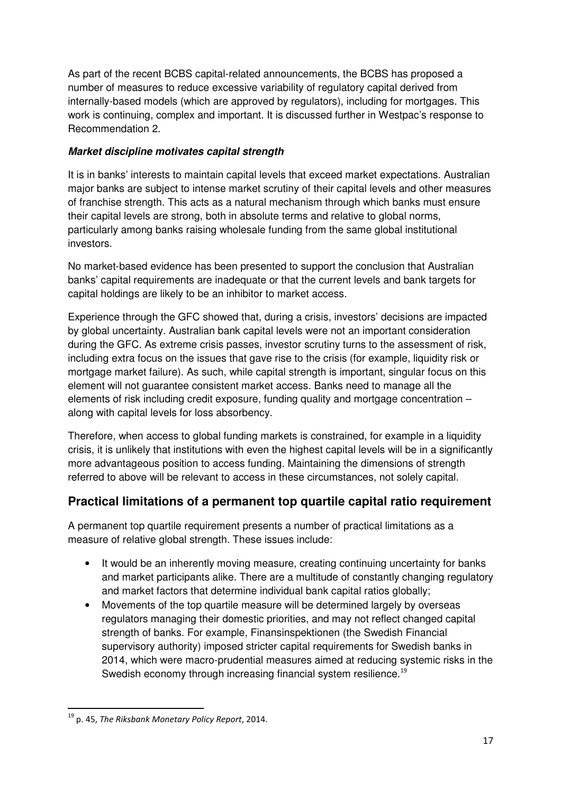As part of the recent BCBS capital-related announcements, the BCBS has proposed a number of measures to reduce excessive variability of regulatory capital derived from internally-based models (which are approved by regulators), including for mortgages. This work is continuing, complex and important. It is discussed further in Westpac's response to Recommendation 2.

### **Market discipline motivates capital strength**

It is in banks' interests to maintain capital levels that exceed market expectations. Australian major banks are subject to intense market scrutiny of their capital levels and other measures of franchise strength. This acts as a natural mechanism through which banks must ensure their capital levels are strong, both in absolute terms and relative to global norms, particularly among banks raising wholesale funding from the same global institutional investors.

No market-based evidence has been presented to support the conclusion that Australian banks' capital requirements are inadequate or that the current levels and bank targets for capital holdings are likely to be an inhibitor to market access.

Experience through the GFC showed that, during a crisis, investors' decisions are impacted by global uncertainty. Australian bank capital levels were not an important consideration during the GFC. As extreme crisis passes, investor scrutiny turns to the assessment of risk, including extra focus on the issues that gave rise to the crisis (for example, liquidity risk or mortgage market failure). As such, while capital strength is important, singular focus on this element will not guarantee consistent market access. Banks need to manage all the elements of risk including credit exposure, funding quality and mortgage concentration – along with capital levels for loss absorbency.

Therefore, when access to global funding markets is constrained, for example in a liquidity crisis, it is unlikely that institutions with even the highest capital levels will be in a significantly more advantageous position to access funding. Maintaining the dimensions of strength referred to above will be relevant to access in these circumstances, not solely capital.

# **Practical limitations of a permanent top quartile capital ratio requirement**

A permanent top quartile requirement presents a number of practical limitations as a measure of relative global strength. These issues include:

- It would be an inherently moving measure, creating continuing uncertainty for banks and market participants alike. There are a multitude of constantly changing regulatory and market factors that determine individual bank capital ratios globally;
- Movements of the top quartile measure will be determined largely by overseas regulators managing their domestic priorities, and may not reflect changed capital strength of banks. For example, Finansinspektionen (the Swedish Financial supervisory authority) imposed stricter capital requirements for Swedish banks in 2014, which were macro-prudential measures aimed at reducing systemic risks in the Swedish economy through increasing financial system resilience.<sup>19</sup>

 $19$  p. 45, The Riksbank Monetary Policy Report, 2014.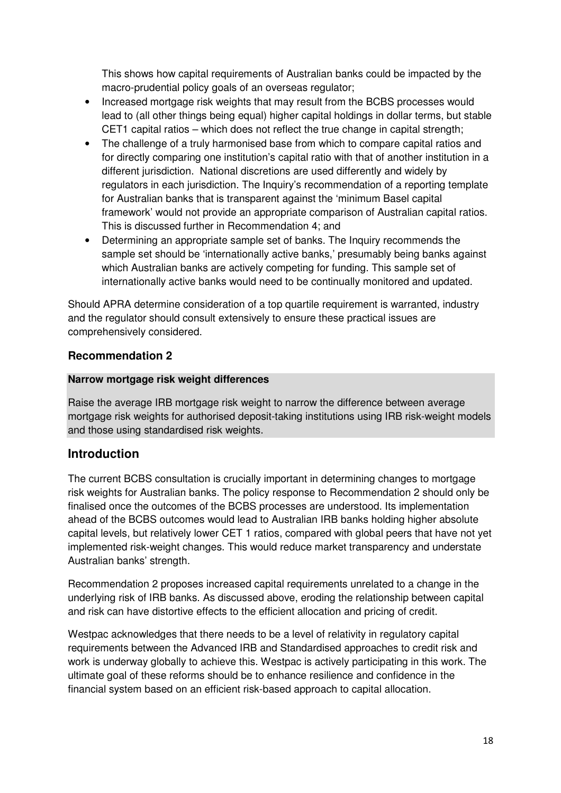This shows how capital requirements of Australian banks could be impacted by the macro-prudential policy goals of an overseas regulator;

- Increased mortgage risk weights that may result from the BCBS processes would lead to (all other things being equal) higher capital holdings in dollar terms, but stable CET1 capital ratios – which does not reflect the true change in capital strength;
- The challenge of a truly harmonised base from which to compare capital ratios and for directly comparing one institution's capital ratio with that of another institution in a different jurisdiction. National discretions are used differently and widely by regulators in each jurisdiction. The Inquiry's recommendation of a reporting template for Australian banks that is transparent against the 'minimum Basel capital framework' would not provide an appropriate comparison of Australian capital ratios. This is discussed further in Recommendation 4; and
- Determining an appropriate sample set of banks. The Inquiry recommends the sample set should be 'internationally active banks,' presumably being banks against which Australian banks are actively competing for funding. This sample set of internationally active banks would need to be continually monitored and updated.

Should APRA determine consideration of a top quartile requirement is warranted, industry and the regulator should consult extensively to ensure these practical issues are comprehensively considered.

### **Recommendation 2**

### **Narrow mortgage risk weight differences**

Raise the average IRB mortgage risk weight to narrow the difference between average mortgage risk weights for authorised deposit-taking institutions using IRB risk-weight models and those using standardised risk weights.

# **Introduction**

The current BCBS consultation is crucially important in determining changes to mortgage risk weights for Australian banks. The policy response to Recommendation 2 should only be finalised once the outcomes of the BCBS processes are understood. Its implementation ahead of the BCBS outcomes would lead to Australian IRB banks holding higher absolute capital levels, but relatively lower CET 1 ratios, compared with global peers that have not yet implemented risk-weight changes. This would reduce market transparency and understate Australian banks' strength.

Recommendation 2 proposes increased capital requirements unrelated to a change in the underlying risk of IRB banks. As discussed above, eroding the relationship between capital and risk can have distortive effects to the efficient allocation and pricing of credit.

Westpac acknowledges that there needs to be a level of relativity in regulatory capital requirements between the Advanced IRB and Standardised approaches to credit risk and work is underway globally to achieve this. Westpac is actively participating in this work. The ultimate goal of these reforms should be to enhance resilience and confidence in the financial system based on an efficient risk-based approach to capital allocation.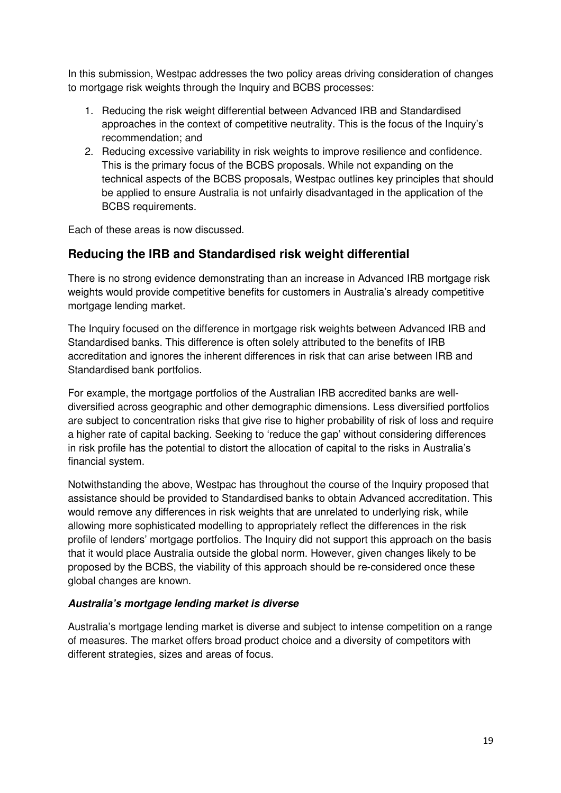In this submission, Westpac addresses the two policy areas driving consideration of changes to mortgage risk weights through the Inquiry and BCBS processes:

- 1. Reducing the risk weight differential between Advanced IRB and Standardised approaches in the context of competitive neutrality. This is the focus of the Inquiry's recommendation; and
- 2. Reducing excessive variability in risk weights to improve resilience and confidence. This is the primary focus of the BCBS proposals. While not expanding on the technical aspects of the BCBS proposals, Westpac outlines key principles that should be applied to ensure Australia is not unfairly disadvantaged in the application of the BCBS requirements.

Each of these areas is now discussed.

# **Reducing the IRB and Standardised risk weight differential**

There is no strong evidence demonstrating than an increase in Advanced IRB mortgage risk weights would provide competitive benefits for customers in Australia's already competitive mortgage lending market.

The Inquiry focused on the difference in mortgage risk weights between Advanced IRB and Standardised banks. This difference is often solely attributed to the benefits of IRB accreditation and ignores the inherent differences in risk that can arise between IRB and Standardised bank portfolios.

For example, the mortgage portfolios of the Australian IRB accredited banks are welldiversified across geographic and other demographic dimensions. Less diversified portfolios are subject to concentration risks that give rise to higher probability of risk of loss and require a higher rate of capital backing. Seeking to 'reduce the gap' without considering differences in risk profile has the potential to distort the allocation of capital to the risks in Australia's financial system.

Notwithstanding the above, Westpac has throughout the course of the Inquiry proposed that assistance should be provided to Standardised banks to obtain Advanced accreditation. This would remove any differences in risk weights that are unrelated to underlying risk, while allowing more sophisticated modelling to appropriately reflect the differences in the risk profile of lenders' mortgage portfolios. The Inquiry did not support this approach on the basis that it would place Australia outside the global norm. However, given changes likely to be proposed by the BCBS, the viability of this approach should be re-considered once these global changes are known.

#### **Australia's mortgage lending market is diverse**

Australia's mortgage lending market is diverse and subject to intense competition on a range of measures. The market offers broad product choice and a diversity of competitors with different strategies, sizes and areas of focus.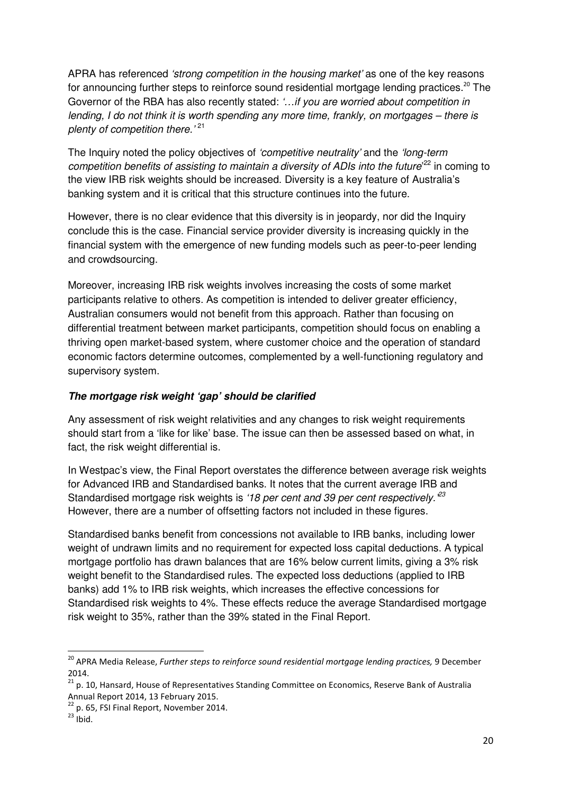APRA has referenced *'strong competition in the housing market'* as one of the key reasons for announcing further steps to reinforce sound residential mortgage lending practices.<sup>20</sup> The Governor of the RBA has also recently stated: '...if you are worried about competition in lending, I do not think it is worth spending any more time, frankly, on mortgages – there is plenty of competition there.<sup>'21</sup>

The Inquiry noted the policy objectives of *'competitive neutrality'* and the *'long-term* competition benefits of assisting to maintain a diversity of ADIs into the future<sup>'22</sup> in coming to the view IRB risk weights should be increased. Diversity is a key feature of Australia's banking system and it is critical that this structure continues into the future.

However, there is no clear evidence that this diversity is in jeopardy, nor did the Inquiry conclude this is the case. Financial service provider diversity is increasing quickly in the financial system with the emergence of new funding models such as peer-to-peer lending and crowdsourcing.

Moreover, increasing IRB risk weights involves increasing the costs of some market participants relative to others. As competition is intended to deliver greater efficiency, Australian consumers would not benefit from this approach. Rather than focusing on differential treatment between market participants, competition should focus on enabling a thriving open market-based system, where customer choice and the operation of standard economic factors determine outcomes, complemented by a well-functioning regulatory and supervisory system.

#### **The mortgage risk weight 'gap' should be clarified**

Any assessment of risk weight relativities and any changes to risk weight requirements should start from a 'like for like' base. The issue can then be assessed based on what, in fact, the risk weight differential is.

In Westpac's view, the Final Report overstates the difference between average risk weights for Advanced IRB and Standardised banks. It notes that the current average IRB and Standardised mortgage risk weights is '18 per cent and 39 per cent respectively.<sup>23</sup> However, there are a number of offsetting factors not included in these figures.

Standardised banks benefit from concessions not available to IRB banks, including lower weight of undrawn limits and no requirement for expected loss capital deductions. A typical mortgage portfolio has drawn balances that are 16% below current limits, giving a 3% risk weight benefit to the Standardised rules. The expected loss deductions (applied to IRB banks) add 1% to IRB risk weights, which increases the effective concessions for Standardised risk weights to 4%. These effects reduce the average Standardised mortgage risk weight to 35%, rather than the 39% stated in the Final Report.

l

 $^{20}$  APRA Media Release, Further steps to reinforce sound residential mortgage lending practices, 9 December 2014.

<sup>&</sup>lt;sup>21</sup> p. 10, Hansard, House of Representatives Standing Committee on Economics, Reserve Bank of Australia Annual Report 2014, 13 February 2015.

 $^{22}$  p. 65, FSI Final Report, November 2014.

 $^{23}$  Ibid.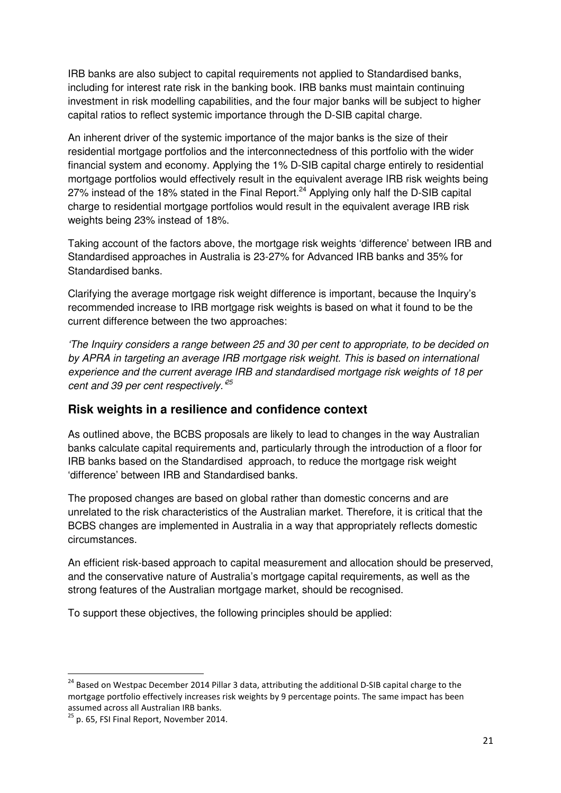IRB banks are also subject to capital requirements not applied to Standardised banks, including for interest rate risk in the banking book. IRB banks must maintain continuing investment in risk modelling capabilities, and the four major banks will be subject to higher capital ratios to reflect systemic importance through the D-SIB capital charge.

An inherent driver of the systemic importance of the major banks is the size of their residential mortgage portfolios and the interconnectedness of this portfolio with the wider financial system and economy. Applying the 1% D-SIB capital charge entirely to residential mortgage portfolios would effectively result in the equivalent average IRB risk weights being 27% instead of the 18% stated in the Final Report. $^{24}$  Applying only half the D-SIB capital charge to residential mortgage portfolios would result in the equivalent average IRB risk weights being 23% instead of 18%.

Taking account of the factors above, the mortgage risk weights 'difference' between IRB and Standardised approaches in Australia is 23-27% for Advanced IRB banks and 35% for Standardised banks.

Clarifying the average mortgage risk weight difference is important, because the Inquiry's recommended increase to IRB mortgage risk weights is based on what it found to be the current difference between the two approaches:

'The Inquiry considers a range between 25 and 30 per cent to appropriate, to be decided on by APRA in targeting an average IRB mortgage risk weight. This is based on international experience and the current average IRB and standardised mortgage risk weights of 18 per cent and 39 per cent respectively.  $25$ 

### **Risk weights in a resilience and confidence context**

As outlined above, the BCBS proposals are likely to lead to changes in the way Australian banks calculate capital requirements and, particularly through the introduction of a floor for IRB banks based on the Standardised approach, to reduce the mortgage risk weight 'difference' between IRB and Standardised banks.

The proposed changes are based on global rather than domestic concerns and are unrelated to the risk characteristics of the Australian market. Therefore, it is critical that the BCBS changes are implemented in Australia in a way that appropriately reflects domestic circumstances.

An efficient risk-based approach to capital measurement and allocation should be preserved, and the conservative nature of Australia's mortgage capital requirements, as well as the strong features of the Australian mortgage market, should be recognised.

To support these objectives, the following principles should be applied:

 $\overline{\phantom{0}}$ 

<sup>&</sup>lt;sup>24</sup> Based on Westpac December 2014 Pillar 3 data, attributing the additional D-SIB capital charge to the mortgage portfolio effectively increases risk weights by 9 percentage points. The same impact has been assumed across all Australian IRB banks.

 $25$  p. 65, FSI Final Report, November 2014.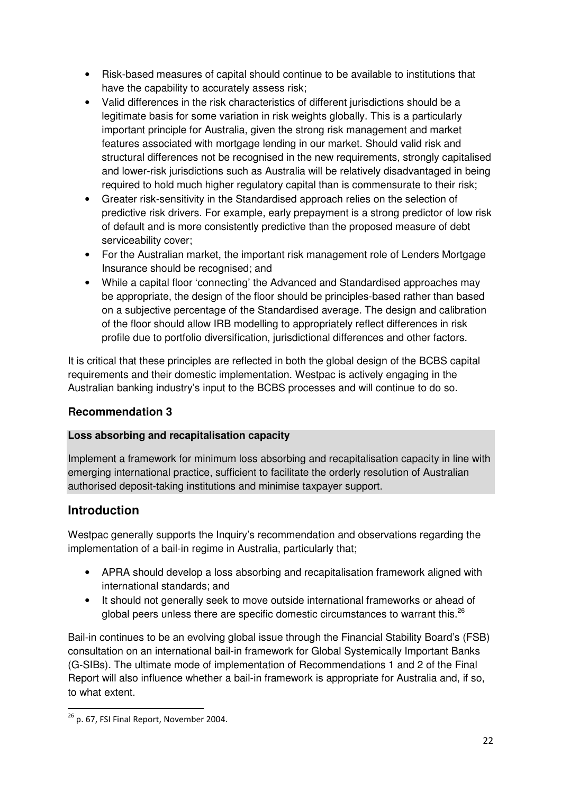- Risk-based measures of capital should continue to be available to institutions that have the capability to accurately assess risk;
- Valid differences in the risk characteristics of different iurisdictions should be a legitimate basis for some variation in risk weights globally. This is a particularly important principle for Australia, given the strong risk management and market features associated with mortgage lending in our market. Should valid risk and structural differences not be recognised in the new requirements, strongly capitalised and lower-risk jurisdictions such as Australia will be relatively disadvantaged in being required to hold much higher regulatory capital than is commensurate to their risk;
- Greater risk-sensitivity in the Standardised approach relies on the selection of predictive risk drivers. For example, early prepayment is a strong predictor of low risk of default and is more consistently predictive than the proposed measure of debt serviceability cover;
- For the Australian market, the important risk management role of Lenders Mortgage Insurance should be recognised; and
- While a capital floor 'connecting' the Advanced and Standardised approaches may be appropriate, the design of the floor should be principles-based rather than based on a subjective percentage of the Standardised average. The design and calibration of the floor should allow IRB modelling to appropriately reflect differences in risk profile due to portfolio diversification, jurisdictional differences and other factors.

It is critical that these principles are reflected in both the global design of the BCBS capital requirements and their domestic implementation. Westpac is actively engaging in the Australian banking industry's input to the BCBS processes and will continue to do so.

# **Recommendation 3**

### **Loss absorbing and recapitalisation capacity**

Implement a framework for minimum loss absorbing and recapitalisation capacity in line with emerging international practice, sufficient to facilitate the orderly resolution of Australian authorised deposit-taking institutions and minimise taxpayer support.

# **Introduction**

Westpac generally supports the Inquiry's recommendation and observations regarding the implementation of a bail-in regime in Australia, particularly that;

- APRA should develop a loss absorbing and recapitalisation framework aligned with international standards; and
- It should not generally seek to move outside international frameworks or ahead of global peers unless there are specific domestic circumstances to warrant this.<sup>26</sup>

Bail-in continues to be an evolving global issue through the Financial Stability Board's (FSB) consultation on an international bail-in framework for Global Systemically Important Banks (G-SIBs). The ultimate mode of implementation of Recommendations 1 and 2 of the Final Report will also influence whether a bail-in framework is appropriate for Australia and, if so, to what extent.

 $\overline{a}$  $^{26}$  p. 67, FSI Final Report, November 2004.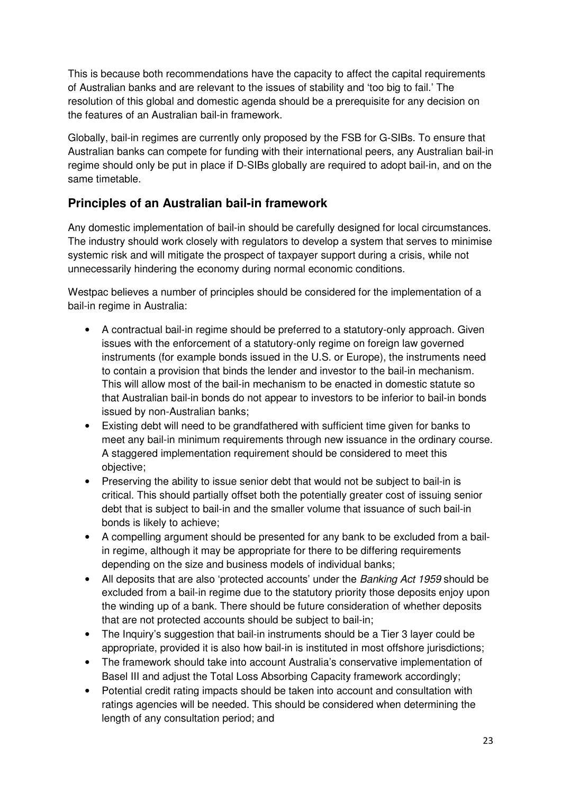This is because both recommendations have the capacity to affect the capital requirements of Australian banks and are relevant to the issues of stability and 'too big to fail.' The resolution of this global and domestic agenda should be a prerequisite for any decision on the features of an Australian bail-in framework.

Globally, bail-in regimes are currently only proposed by the FSB for G-SIBs. To ensure that Australian banks can compete for funding with their international peers, any Australian bail-in regime should only be put in place if D-SIBs globally are required to adopt bail-in, and on the same timetable.

# **Principles of an Australian bail-in framework**

Any domestic implementation of bail-in should be carefully designed for local circumstances. The industry should work closely with regulators to develop a system that serves to minimise systemic risk and will mitigate the prospect of taxpayer support during a crisis, while not unnecessarily hindering the economy during normal economic conditions.

Westpac believes a number of principles should be considered for the implementation of a bail-in regime in Australia:

- A contractual bail-in regime should be preferred to a statutory-only approach. Given issues with the enforcement of a statutory-only regime on foreign law governed instruments (for example bonds issued in the U.S. or Europe), the instruments need to contain a provision that binds the lender and investor to the bail-in mechanism. This will allow most of the bail-in mechanism to be enacted in domestic statute so that Australian bail-in bonds do not appear to investors to be inferior to bail-in bonds issued by non-Australian banks;
- Existing debt will need to be grandfathered with sufficient time given for banks to meet any bail-in minimum requirements through new issuance in the ordinary course. A staggered implementation requirement should be considered to meet this objective;
- Preserving the ability to issue senior debt that would not be subject to bail-in is critical. This should partially offset both the potentially greater cost of issuing senior debt that is subject to bail-in and the smaller volume that issuance of such bail-in bonds is likely to achieve;
- A compelling argument should be presented for any bank to be excluded from a bailin regime, although it may be appropriate for there to be differing requirements depending on the size and business models of individual banks;
- All deposits that are also 'protected accounts' under the Banking Act 1959 should be excluded from a bail-in regime due to the statutory priority those deposits enjoy upon the winding up of a bank. There should be future consideration of whether deposits that are not protected accounts should be subject to bail-in;
- The Inquiry's suggestion that bail-in instruments should be a Tier 3 layer could be appropriate, provided it is also how bail-in is instituted in most offshore jurisdictions;
- The framework should take into account Australia's conservative implementation of Basel III and adjust the Total Loss Absorbing Capacity framework accordingly;
- Potential credit rating impacts should be taken into account and consultation with ratings agencies will be needed. This should be considered when determining the length of any consultation period; and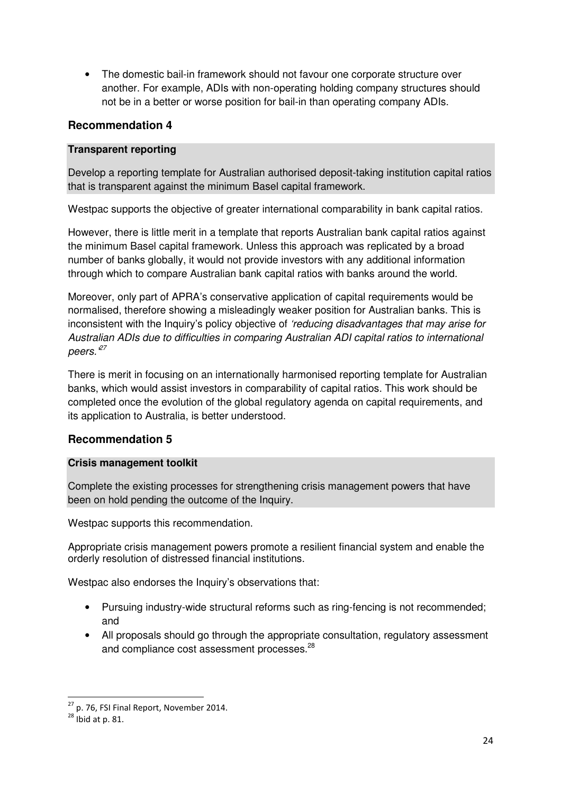• The domestic bail-in framework should not favour one corporate structure over another. For example, ADIs with non-operating holding company structures should not be in a better or worse position for bail-in than operating company ADIs.

#### **Recommendation 4**

#### **Transparent reporting**

Develop a reporting template for Australian authorised deposit-taking institution capital ratios that is transparent against the minimum Basel capital framework.

Westpac supports the objective of greater international comparability in bank capital ratios.

However, there is little merit in a template that reports Australian bank capital ratios against the minimum Basel capital framework. Unless this approach was replicated by a broad number of banks globally, it would not provide investors with any additional information through which to compare Australian bank capital ratios with banks around the world.

Moreover, only part of APRA's conservative application of capital requirements would be normalised, therefore showing a misleadingly weaker position for Australian banks. This is inconsistent with the Inquiry's policy objective of 'reducing disadvantages that may arise for Australian ADIs due to difficulties in comparing Australian ADI capital ratios to international peers. $27$ 

There is merit in focusing on an internationally harmonised reporting template for Australian banks, which would assist investors in comparability of capital ratios. This work should be completed once the evolution of the global regulatory agenda on capital requirements, and its application to Australia, is better understood.

#### **Recommendation 5**

#### **Crisis management toolkit**

Complete the existing processes for strengthening crisis management powers that have been on hold pending the outcome of the Inquiry.

Westpac supports this recommendation.

Appropriate crisis management powers promote a resilient financial system and enable the orderly resolution of distressed financial institutions.

Westpac also endorses the Inquiry's observations that:

- Pursuing industry-wide structural reforms such as ring-fencing is not recommended; and
- All proposals should go through the appropriate consultation, regulatory assessment and compliance cost assessment processes.<sup>28</sup>

 $\overline{\phantom{0}}$ 

 $^{27}$  p. 76, FSI Final Report, November 2014.

 $^{28}$  Ibid at p. 81.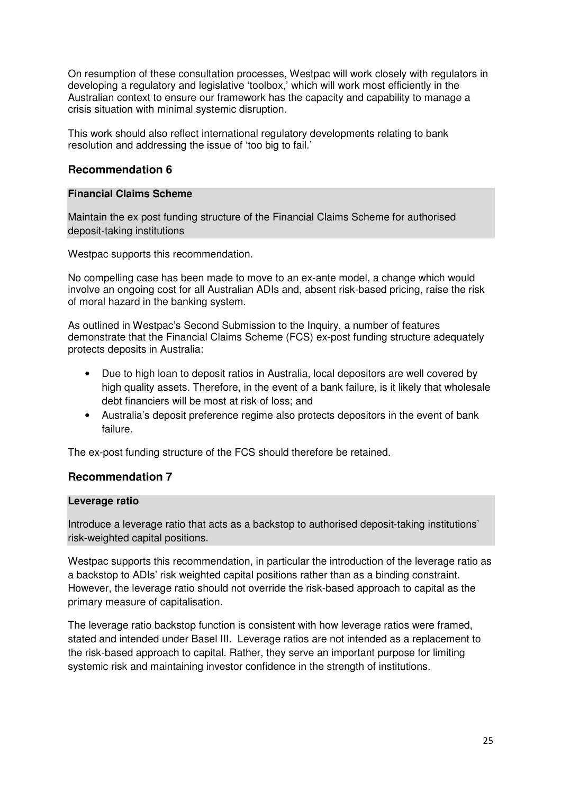On resumption of these consultation processes, Westpac will work closely with regulators in developing a regulatory and legislative 'toolbox,' which will work most efficiently in the Australian context to ensure our framework has the capacity and capability to manage a crisis situation with minimal systemic disruption.

This work should also reflect international regulatory developments relating to bank resolution and addressing the issue of 'too big to fail.'

#### **Recommendation 6**

#### **Financial Claims Scheme**

Maintain the ex post funding structure of the Financial Claims Scheme for authorised deposit-taking institutions

Westpac supports this recommendation.

No compelling case has been made to move to an ex-ante model, a change which would involve an ongoing cost for all Australian ADIs and, absent risk-based pricing, raise the risk of moral hazard in the banking system.

As outlined in Westpac's Second Submission to the Inquiry, a number of features demonstrate that the Financial Claims Scheme (FCS) ex-post funding structure adequately protects deposits in Australia:

- Due to high loan to deposit ratios in Australia, local depositors are well covered by high quality assets. Therefore, in the event of a bank failure, is it likely that wholesale debt financiers will be most at risk of loss; and
- Australia's deposit preference regime also protects depositors in the event of bank failure.

The ex-post funding structure of the FCS should therefore be retained.

#### **Recommendation 7**

#### **Leverage ratio**

Introduce a leverage ratio that acts as a backstop to authorised deposit-taking institutions' risk-weighted capital positions.

Westpac supports this recommendation, in particular the introduction of the leverage ratio as a backstop to ADIs' risk weighted capital positions rather than as a binding constraint. However, the leverage ratio should not override the risk-based approach to capital as the primary measure of capitalisation.

The leverage ratio backstop function is consistent with how leverage ratios were framed, stated and intended under Basel III. Leverage ratios are not intended as a replacement to the risk-based approach to capital. Rather, they serve an important purpose for limiting systemic risk and maintaining investor confidence in the strength of institutions.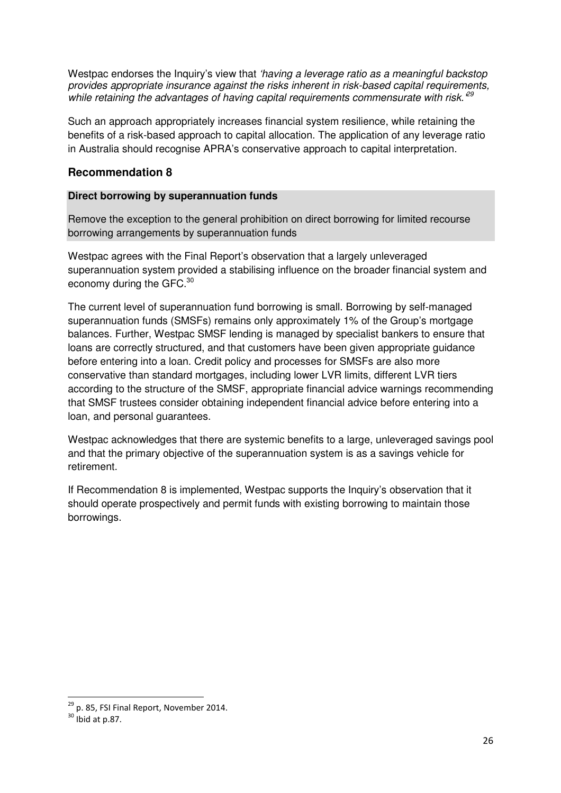Westpac endorses the Inquiry's view that 'having a leverage ratio as a meaningful backstop provides appropriate insurance against the risks inherent in risk-based capital requirements, while retaining the advantages of having capital requirements commensurate with risk.  $^{29}$ 

Such an approach appropriately increases financial system resilience, while retaining the benefits of a risk-based approach to capital allocation. The application of any leverage ratio in Australia should recognise APRA's conservative approach to capital interpretation.

#### **Recommendation 8**

#### **Direct borrowing by superannuation funds**

Remove the exception to the general prohibition on direct borrowing for limited recourse borrowing arrangements by superannuation funds

Westpac agrees with the Final Report's observation that a largely unleveraged superannuation system provided a stabilising influence on the broader financial system and economy during the GFC. $^{30}$ 

The current level of superannuation fund borrowing is small. Borrowing by self-managed superannuation funds (SMSFs) remains only approximately 1% of the Group's mortgage balances. Further, Westpac SMSF lending is managed by specialist bankers to ensure that loans are correctly structured, and that customers have been given appropriate guidance before entering into a loan. Credit policy and processes for SMSFs are also more conservative than standard mortgages, including lower LVR limits, different LVR tiers according to the structure of the SMSF, appropriate financial advice warnings recommending that SMSF trustees consider obtaining independent financial advice before entering into a loan, and personal guarantees.

Westpac acknowledges that there are systemic benefits to a large, unleveraged savings pool and that the primary objective of the superannuation system is as a savings vehicle for retirement.

If Recommendation 8 is implemented, Westpac supports the Inquiry's observation that it should operate prospectively and permit funds with existing borrowing to maintain those borrowings.

 $\overline{\phantom{0}}$ 

 $^{29}$  p. 85, FSI Final Report, November 2014.

 $30$  Ibid at p.87.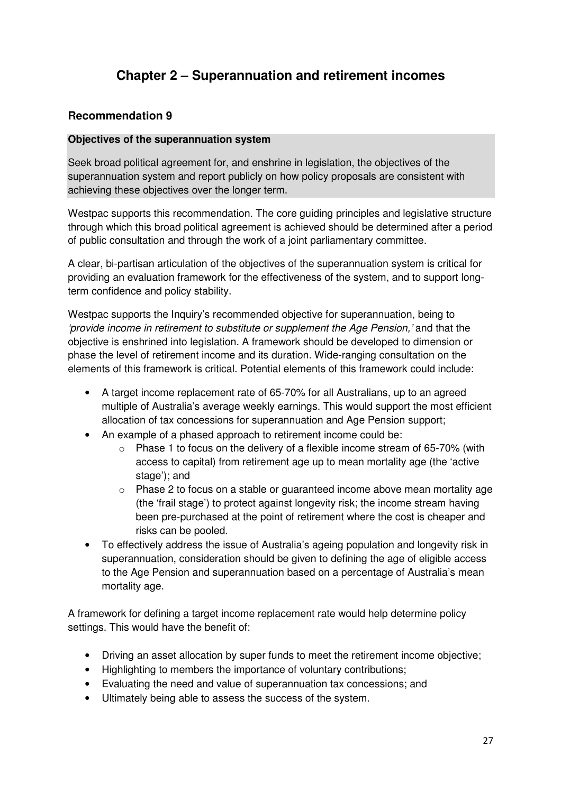# **Chapter 2 – Superannuation and retirement incomes**

### **Recommendation 9**

#### **Objectives of the superannuation system**

Seek broad political agreement for, and enshrine in legislation, the objectives of the superannuation system and report publicly on how policy proposals are consistent with achieving these objectives over the longer term.

Westpac supports this recommendation. The core guiding principles and legislative structure through which this broad political agreement is achieved should be determined after a period of public consultation and through the work of a joint parliamentary committee.

A clear, bi-partisan articulation of the objectives of the superannuation system is critical for providing an evaluation framework for the effectiveness of the system, and to support longterm confidence and policy stability.

Westpac supports the Inquiry's recommended objective for superannuation, being to 'provide income in retirement to substitute or supplement the Age Pension,' and that the objective is enshrined into legislation. A framework should be developed to dimension or phase the level of retirement income and its duration. Wide-ranging consultation on the elements of this framework is critical. Potential elements of this framework could include:

- A target income replacement rate of 65-70% for all Australians, up to an agreed multiple of Australia's average weekly earnings. This would support the most efficient allocation of tax concessions for superannuation and Age Pension support;
- An example of a phased approach to retirement income could be:
	- $\circ$  Phase 1 to focus on the delivery of a flexible income stream of 65-70% (with access to capital) from retirement age up to mean mortality age (the 'active stage'); and
	- o Phase 2 to focus on a stable or guaranteed income above mean mortality age (the 'frail stage') to protect against longevity risk; the income stream having been pre-purchased at the point of retirement where the cost is cheaper and risks can be pooled.
- To effectively address the issue of Australia's ageing population and longevity risk in superannuation, consideration should be given to defining the age of eligible access to the Age Pension and superannuation based on a percentage of Australia's mean mortality age.

A framework for defining a target income replacement rate would help determine policy settings. This would have the benefit of:

- Driving an asset allocation by super funds to meet the retirement income objective;
- Highlighting to members the importance of voluntary contributions;
- Evaluating the need and value of superannuation tax concessions; and
- Ultimately being able to assess the success of the system.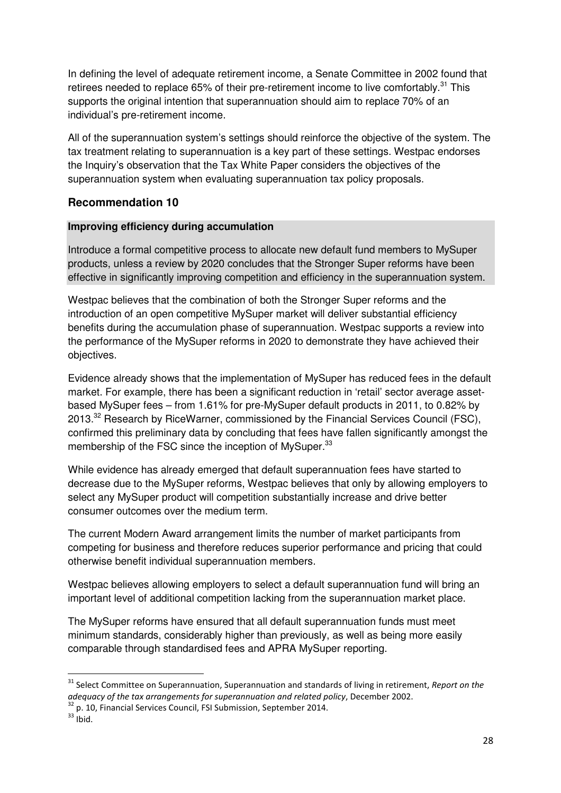In defining the level of adequate retirement income, a Senate Committee in 2002 found that retirees needed to replace 65% of their pre-retirement income to live comfortably.<sup>31</sup> This supports the original intention that superannuation should aim to replace 70% of an individual's pre-retirement income.

All of the superannuation system's settings should reinforce the objective of the system. The tax treatment relating to superannuation is a key part of these settings. Westpac endorses the Inquiry's observation that the Tax White Paper considers the objectives of the superannuation system when evaluating superannuation tax policy proposals.

#### **Recommendation 10**

#### **Improving efficiency during accumulation**

Introduce a formal competitive process to allocate new default fund members to MySuper products, unless a review by 2020 concludes that the Stronger Super reforms have been effective in significantly improving competition and efficiency in the superannuation system.

Westpac believes that the combination of both the Stronger Super reforms and the introduction of an open competitive MySuper market will deliver substantial efficiency benefits during the accumulation phase of superannuation. Westpac supports a review into the performance of the MySuper reforms in 2020 to demonstrate they have achieved their objectives.

Evidence already shows that the implementation of MySuper has reduced fees in the default market. For example, there has been a significant reduction in 'retail' sector average assetbased MySuper fees – from 1.61% for pre-MySuper default products in 2011, to 0.82% by 2013.<sup>32</sup> Research by RiceWarner, commissioned by the Financial Services Council (FSC), confirmed this preliminary data by concluding that fees have fallen significantly amongst the membership of the FSC since the inception of MySuper.<sup>33</sup>

While evidence has already emerged that default superannuation fees have started to decrease due to the MySuper reforms, Westpac believes that only by allowing employers to select any MySuper product will competition substantially increase and drive better consumer outcomes over the medium term.

The current Modern Award arrangement limits the number of market participants from competing for business and therefore reduces superior performance and pricing that could otherwise benefit individual superannuation members.

Westpac believes allowing employers to select a default superannuation fund will bring an important level of additional competition lacking from the superannuation market place.

The MySuper reforms have ensured that all default superannuation funds must meet minimum standards, considerably higher than previously, as well as being more easily comparable through standardised fees and APRA MySuper reporting.

 $\overline{\phantom{0}}$ 

<sup>&</sup>lt;sup>31</sup> Select Committee on Superannuation, Superannuation and standards of living in retirement, Report on the adequacy of the tax arrangements for superannuation and related policy, December 2002.

 $32$  p. 10, Financial Services Council, FSI Submission, September 2014.

 $33$  Ibid.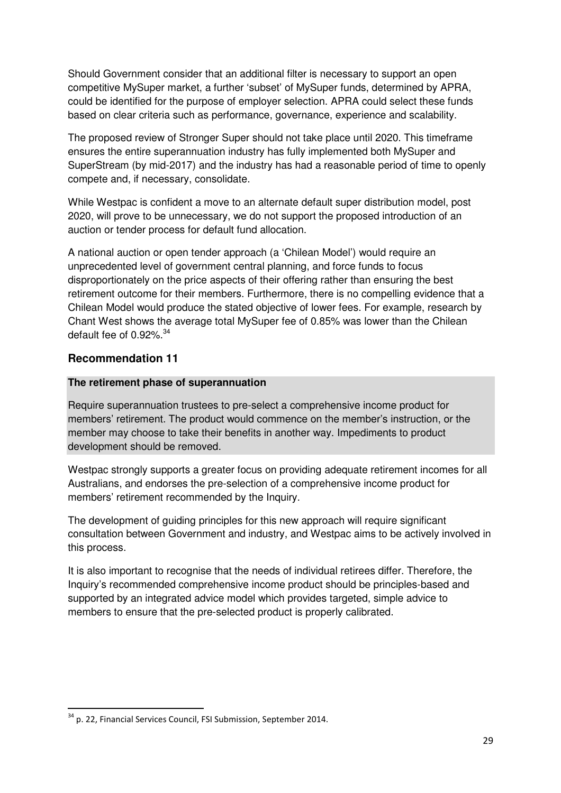Should Government consider that an additional filter is necessary to support an open competitive MySuper market, a further 'subset' of MySuper funds, determined by APRA, could be identified for the purpose of employer selection. APRA could select these funds based on clear criteria such as performance, governance, experience and scalability.

The proposed review of Stronger Super should not take place until 2020. This timeframe ensures the entire superannuation industry has fully implemented both MySuper and SuperStream (by mid-2017) and the industry has had a reasonable period of time to openly compete and, if necessary, consolidate.

While Westpac is confident a move to an alternate default super distribution model, post 2020, will prove to be unnecessary, we do not support the proposed introduction of an auction or tender process for default fund allocation.

A national auction or open tender approach (a 'Chilean Model') would require an unprecedented level of government central planning, and force funds to focus disproportionately on the price aspects of their offering rather than ensuring the best retirement outcome for their members. Furthermore, there is no compelling evidence that a Chilean Model would produce the stated objective of lower fees. For example, research by Chant West shows the average total MySuper fee of 0.85% was lower than the Chilean default fee of 0.92%. $34$ 

### **Recommendation 11**

 $\overline{a}$ 

#### **The retirement phase of superannuation**

Require superannuation trustees to pre-select a comprehensive income product for members' retirement. The product would commence on the member's instruction, or the member may choose to take their benefits in another way. Impediments to product development should be removed.

Westpac strongly supports a greater focus on providing adequate retirement incomes for all Australians, and endorses the pre-selection of a comprehensive income product for members' retirement recommended by the Inquiry.

The development of guiding principles for this new approach will require significant consultation between Government and industry, and Westpac aims to be actively involved in this process.

It is also important to recognise that the needs of individual retirees differ. Therefore, the Inquiry's recommended comprehensive income product should be principles-based and supported by an integrated advice model which provides targeted, simple advice to members to ensure that the pre-selected product is properly calibrated.

<sup>&</sup>lt;sup>34</sup> p. 22, Financial Services Council, FSI Submission, September 2014.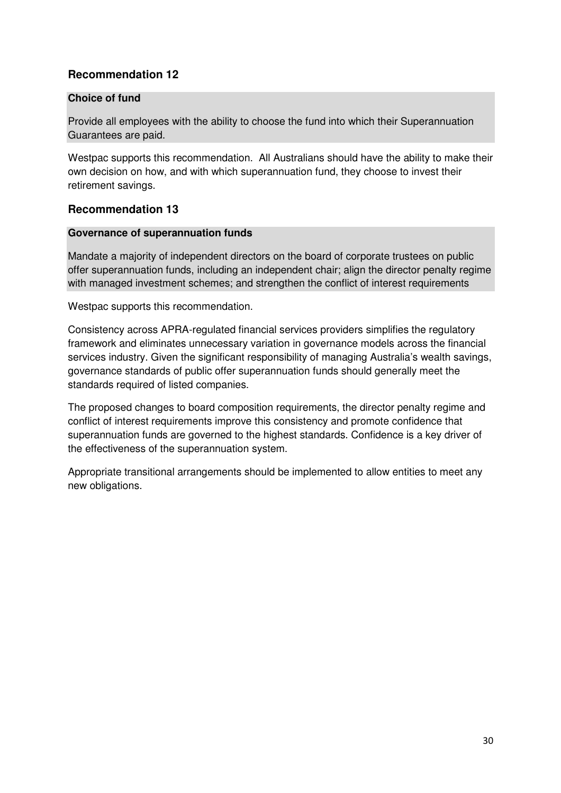# **Recommendation 12**

#### **Choice of fund**

Provide all employees with the ability to choose the fund into which their Superannuation Guarantees are paid.

Westpac supports this recommendation. All Australians should have the ability to make their own decision on how, and with which superannuation fund, they choose to invest their retirement savings.

### **Recommendation 13**

#### **Governance of superannuation funds**

Mandate a majority of independent directors on the board of corporate trustees on public offer superannuation funds, including an independent chair; align the director penalty regime with managed investment schemes; and strengthen the conflict of interest requirements

Westpac supports this recommendation.

Consistency across APRA-regulated financial services providers simplifies the regulatory framework and eliminates unnecessary variation in governance models across the financial services industry. Given the significant responsibility of managing Australia's wealth savings, governance standards of public offer superannuation funds should generally meet the standards required of listed companies.

The proposed changes to board composition requirements, the director penalty regime and conflict of interest requirements improve this consistency and promote confidence that superannuation funds are governed to the highest standards. Confidence is a key driver of the effectiveness of the superannuation system.

Appropriate transitional arrangements should be implemented to allow entities to meet any new obligations.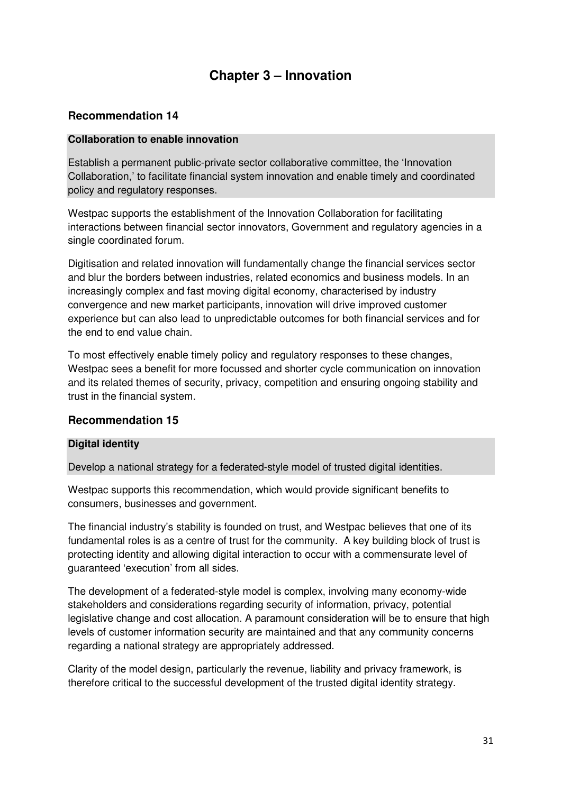# **Chapter 3 – Innovation**

### **Recommendation 14**

#### **Collaboration to enable innovation**

Establish a permanent public-private sector collaborative committee, the 'Innovation Collaboration,' to facilitate financial system innovation and enable timely and coordinated policy and regulatory responses.

Westpac supports the establishment of the Innovation Collaboration for facilitating interactions between financial sector innovators, Government and regulatory agencies in a single coordinated forum.

Digitisation and related innovation will fundamentally change the financial services sector and blur the borders between industries, related economics and business models. In an increasingly complex and fast moving digital economy, characterised by industry convergence and new market participants, innovation will drive improved customer experience but can also lead to unpredictable outcomes for both financial services and for the end to end value chain.

To most effectively enable timely policy and regulatory responses to these changes, Westpac sees a benefit for more focussed and shorter cycle communication on innovation and its related themes of security, privacy, competition and ensuring ongoing stability and trust in the financial system.

#### **Recommendation 15**

#### **Digital identity**

Develop a national strategy for a federated-style model of trusted digital identities.

Westpac supports this recommendation, which would provide significant benefits to consumers, businesses and government.

The financial industry's stability is founded on trust, and Westpac believes that one of its fundamental roles is as a centre of trust for the community. A key building block of trust is protecting identity and allowing digital interaction to occur with a commensurate level of guaranteed 'execution' from all sides.

The development of a federated-style model is complex, involving many economy-wide stakeholders and considerations regarding security of information, privacy, potential legislative change and cost allocation. A paramount consideration will be to ensure that high levels of customer information security are maintained and that any community concerns regarding a national strategy are appropriately addressed.

Clarity of the model design, particularly the revenue, liability and privacy framework, is therefore critical to the successful development of the trusted digital identity strategy.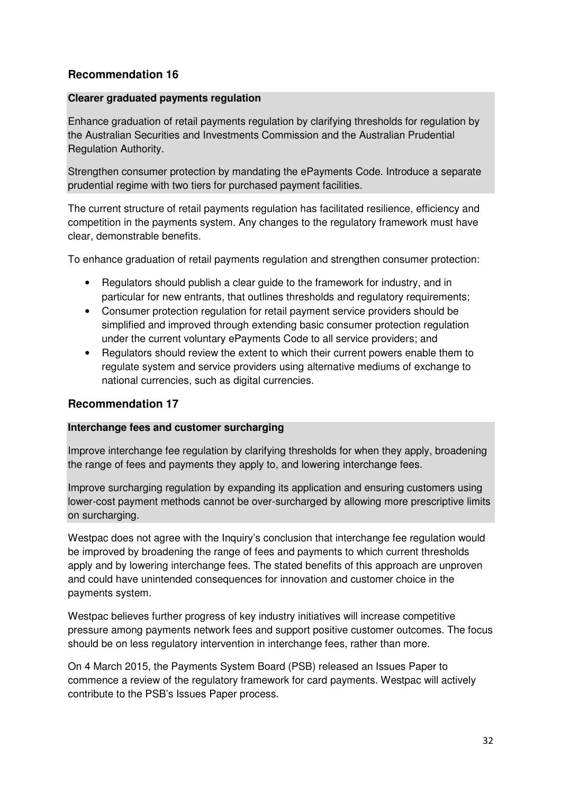# **Recommendation 16**

#### **Clearer graduated payments regulation**

Enhance graduation of retail payments regulation by clarifying thresholds for regulation by the Australian Securities and Investments Commission and the Australian Prudential Regulation Authority.

Strengthen consumer protection by mandating the ePayments Code. Introduce a separate prudential regime with two tiers for purchased payment facilities.

The current structure of retail payments regulation has facilitated resilience, efficiency and competition in the payments system. Any changes to the regulatory framework must have clear, demonstrable benefits.

To enhance graduation of retail payments regulation and strengthen consumer protection:

- Regulators should publish a clear guide to the framework for industry, and in particular for new entrants, that outlines thresholds and regulatory requirements;
- Consumer protection regulation for retail payment service providers should be simplified and improved through extending basic consumer protection regulation under the current voluntary ePayments Code to all service providers; and
- Regulators should review the extent to which their current powers enable them to regulate system and service providers using alternative mediums of exchange to national currencies, such as digital currencies.

#### **Recommendation 17**

#### **Interchange fees and customer surcharging**

Improve interchange fee regulation by clarifying thresholds for when they apply, broadening the range of fees and payments they apply to, and lowering interchange fees.

Improve surcharging regulation by expanding its application and ensuring customers using lower-cost payment methods cannot be over-surcharged by allowing more prescriptive limits on surcharging.

Westpac does not agree with the Inquiry's conclusion that interchange fee regulation would be improved by broadening the range of fees and payments to which current thresholds apply and by lowering interchange fees. The stated benefits of this approach are unproven and could have unintended consequences for innovation and customer choice in the payments system.

Westpac believes further progress of key industry initiatives will increase competitive pressure among payments network fees and support positive customer outcomes. The focus should be on less regulatory intervention in interchange fees, rather than more.

On 4 March 2015, the Payments System Board (PSB) released an Issues Paper to commence a review of the regulatory framework for card payments. Westpac will actively contribute to the PSB's Issues Paper process.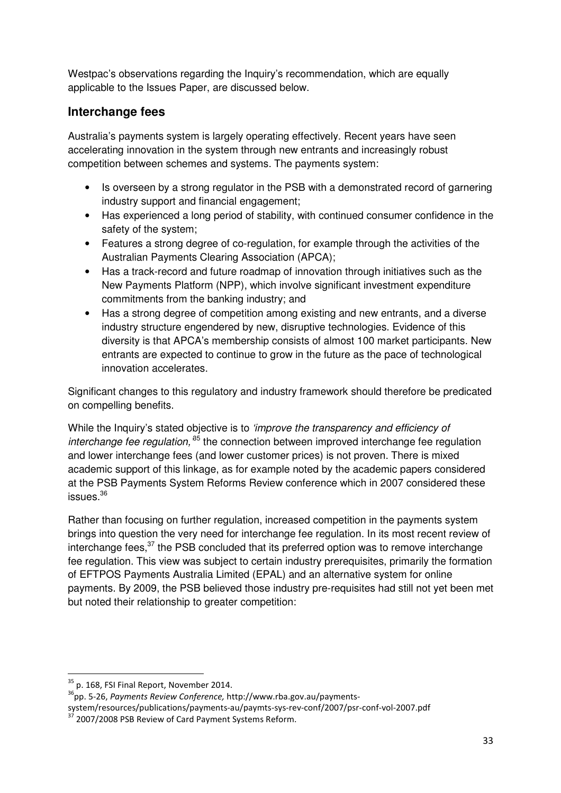Westpac's observations regarding the Inquiry's recommendation, which are equally applicable to the Issues Paper, are discussed below.

# **Interchange fees**

Australia's payments system is largely operating effectively. Recent years have seen accelerating innovation in the system through new entrants and increasingly robust competition between schemes and systems. The payments system:

- Is overseen by a strong regulator in the PSB with a demonstrated record of garnering industry support and financial engagement;
- Has experienced a long period of stability, with continued consumer confidence in the safety of the system;
- Features a strong degree of co-regulation, for example through the activities of the Australian Payments Clearing Association (APCA);
- Has a track-record and future roadmap of innovation through initiatives such as the New Payments Platform (NPP), which involve significant investment expenditure commitments from the banking industry; and
- Has a strong degree of competition among existing and new entrants, and a diverse industry structure engendered by new, disruptive technologies. Evidence of this diversity is that APCA's membership consists of almost 100 market participants. New entrants are expected to continue to grow in the future as the pace of technological innovation accelerates.

Significant changes to this regulatory and industry framework should therefore be predicated on compelling benefits.

While the Inquiry's stated objective is to 'improve the transparency and efficiency of interchange fee regulation,  $85$  the connection between improved interchange fee regulation and lower interchange fees (and lower customer prices) is not proven. There is mixed academic support of this linkage, as for example noted by the academic papers considered at the PSB Payments System Reforms Review conference which in 2007 considered these issues. $^{36}$ 

Rather than focusing on further regulation, increased competition in the payments system brings into question the very need for interchange fee regulation. In its most recent review of interchange fees, $37$  the PSB concluded that its preferred option was to remove interchange fee regulation. This view was subject to certain industry prerequisites, primarily the formation of EFTPOS Payments Australia Limited (EPAL) and an alternative system for online payments. By 2009, the PSB believed those industry pre-requisites had still not yet been met but noted their relationship to greater competition:

 $\overline{\phantom{0}}$ 

 $35$  p. 168, FSI Final Report, November 2014.

<sup>&</sup>lt;sup>36</sup>pp. 5-26, Payments Review Conference, http://www.rba.gov.au/payments-

system/resources/publications/payments-au/paymts-sys-rev-conf/2007/psr-conf-vol-2007.pdf

<sup>37</sup> 2007/2008 PSB Review of Card Payment Systems Reform.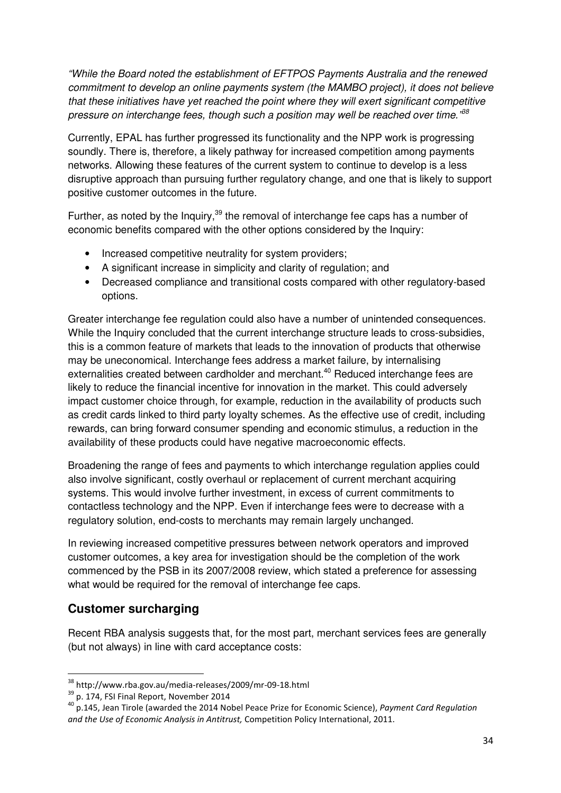"While the Board noted the establishment of EFTPOS Payments Australia and the renewed commitment to develop an online payments system (the MAMBO project), it does not believe that these initiatives have yet reached the point where they will exert significant competitive pressure on interchange fees, though such a position may well be reached over time." $^{38}$ 

Currently, EPAL has further progressed its functionality and the NPP work is progressing soundly. There is, therefore, a likely pathway for increased competition among payments networks. Allowing these features of the current system to continue to develop is a less disruptive approach than pursuing further regulatory change, and one that is likely to support positive customer outcomes in the future.

Further, as noted by the Inquiry,  $39$  the removal of interchange fee caps has a number of economic benefits compared with the other options considered by the Inquiry:

- Increased competitive neutrality for system providers;
- A significant increase in simplicity and clarity of regulation; and
- Decreased compliance and transitional costs compared with other regulatory-based options.

Greater interchange fee regulation could also have a number of unintended consequences. While the Inquiry concluded that the current interchange structure leads to cross-subsidies, this is a common feature of markets that leads to the innovation of products that otherwise may be uneconomical. Interchange fees address a market failure, by internalising externalities created between cardholder and merchant.<sup>40</sup> Reduced interchange fees are likely to reduce the financial incentive for innovation in the market. This could adversely impact customer choice through, for example, reduction in the availability of products such as credit cards linked to third party loyalty schemes. As the effective use of credit, including rewards, can bring forward consumer spending and economic stimulus, a reduction in the availability of these products could have negative macroeconomic effects.

Broadening the range of fees and payments to which interchange regulation applies could also involve significant, costly overhaul or replacement of current merchant acquiring systems. This would involve further investment, in excess of current commitments to contactless technology and the NPP. Even if interchange fees were to decrease with a regulatory solution, end-costs to merchants may remain largely unchanged.

In reviewing increased competitive pressures between network operators and improved customer outcomes, a key area for investigation should be the completion of the work commenced by the PSB in its 2007/2008 review, which stated a preference for assessing what would be required for the removal of interchange fee caps.

# **Customer surcharging**

 $\overline{\phantom{0}}$ 

Recent RBA analysis suggests that, for the most part, merchant services fees are generally (but not always) in line with card acceptance costs:

<sup>38</sup> http://www.rba.gov.au/media-releases/2009/mr-09-18.html

 $39$  p. 174, FSI Final Report, November 2014

 $^{40}$  p.145, Jean Tirole (awarded the 2014 Nobel Peace Prize for Economic Science), Payment Card Regulation and the Use of Economic Analysis in Antitrust, Competition Policy International, 2011.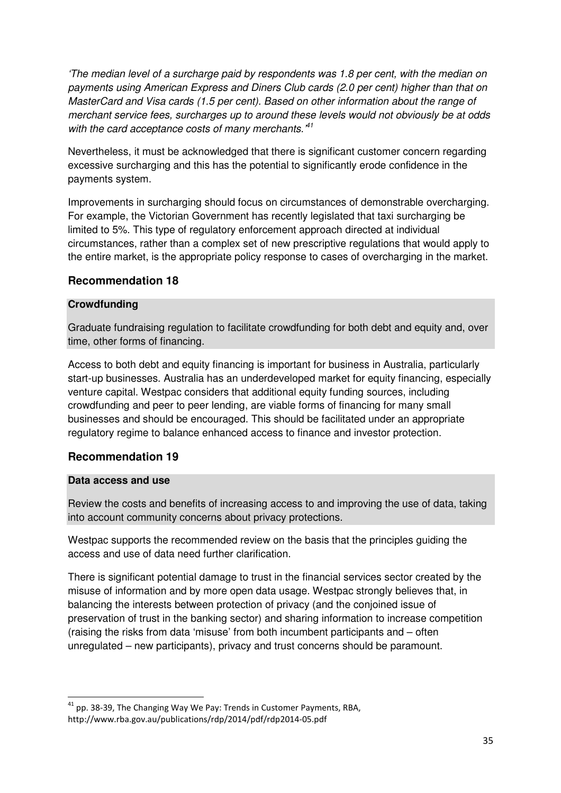'The median level of a surcharge paid by respondents was 1.8 per cent, with the median on payments using American Express and Diners Club cards (2.0 per cent) higher than that on MasterCard and Visa cards (1.5 per cent). Based on other information about the range of merchant service fees, surcharges up to around these levels would not obviously be at odds with the card acceptance costs of many merchants.<sup>41</sup>

Nevertheless, it must be acknowledged that there is significant customer concern regarding excessive surcharging and this has the potential to significantly erode confidence in the payments system.

Improvements in surcharging should focus on circumstances of demonstrable overcharging. For example, the Victorian Government has recently legislated that taxi surcharging be limited to 5%. This type of regulatory enforcement approach directed at individual circumstances, rather than a complex set of new prescriptive regulations that would apply to the entire market, is the appropriate policy response to cases of overcharging in the market.

#### **Recommendation 18**

#### **Crowdfunding**

Graduate fundraising regulation to facilitate crowdfunding for both debt and equity and, over time, other forms of financing.

Access to both debt and equity financing is important for business in Australia, particularly start-up businesses. Australia has an underdeveloped market for equity financing, especially venture capital. Westpac considers that additional equity funding sources, including crowdfunding and peer to peer lending, are viable forms of financing for many small businesses and should be encouraged. This should be facilitated under an appropriate regulatory regime to balance enhanced access to finance and investor protection.

#### **Recommendation 19**

#### **Data access and use**

 $\overline{\phantom{0}}$ 

Review the costs and benefits of increasing access to and improving the use of data, taking into account community concerns about privacy protections.

Westpac supports the recommended review on the basis that the principles guiding the access and use of data need further clarification.

There is significant potential damage to trust in the financial services sector created by the misuse of information and by more open data usage. Westpac strongly believes that, in balancing the interests between protection of privacy (and the conjoined issue of preservation of trust in the banking sector) and sharing information to increase competition (raising the risks from data 'misuse' from both incumbent participants and – often unregulated – new participants), privacy and trust concerns should be paramount.

 $41$  pp. 38-39, The Changing Way We Pay: Trends in Customer Payments, RBA, http://www.rba.gov.au/publications/rdp/2014/pdf/rdp2014-05.pdf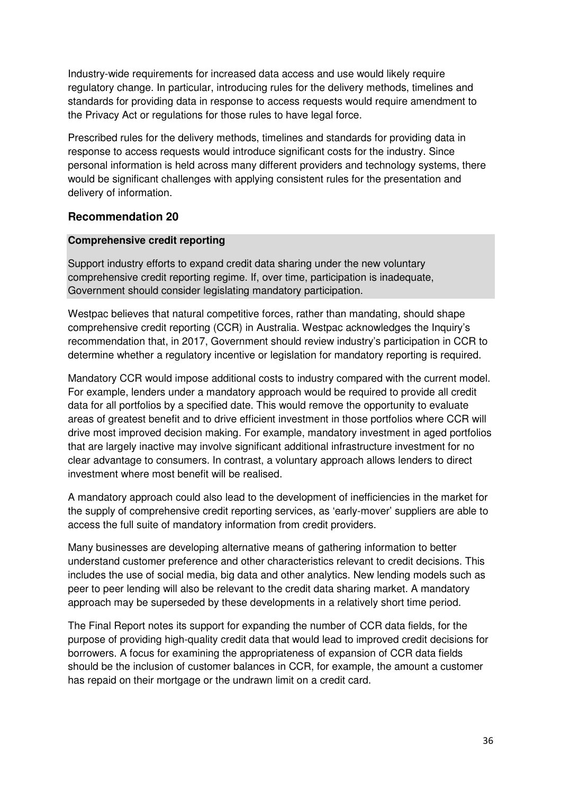Industry-wide requirements for increased data access and use would likely require regulatory change. In particular, introducing rules for the delivery methods, timelines and standards for providing data in response to access requests would require amendment to the Privacy Act or regulations for those rules to have legal force.

Prescribed rules for the delivery methods, timelines and standards for providing data in response to access requests would introduce significant costs for the industry. Since personal information is held across many different providers and technology systems, there would be significant challenges with applying consistent rules for the presentation and delivery of information.

#### **Recommendation 20**

#### **Comprehensive credit reporting**

Support industry efforts to expand credit data sharing under the new voluntary comprehensive credit reporting regime. If, over time, participation is inadequate, Government should consider legislating mandatory participation.

Westpac believes that natural competitive forces, rather than mandating, should shape comprehensive credit reporting (CCR) in Australia. Westpac acknowledges the Inquiry's recommendation that, in 2017, Government should review industry's participation in CCR to determine whether a regulatory incentive or legislation for mandatory reporting is required.

Mandatory CCR would impose additional costs to industry compared with the current model. For example, lenders under a mandatory approach would be required to provide all credit data for all portfolios by a specified date. This would remove the opportunity to evaluate areas of greatest benefit and to drive efficient investment in those portfolios where CCR will drive most improved decision making. For example, mandatory investment in aged portfolios that are largely inactive may involve significant additional infrastructure investment for no clear advantage to consumers. In contrast, a voluntary approach allows lenders to direct investment where most benefit will be realised.

A mandatory approach could also lead to the development of inefficiencies in the market for the supply of comprehensive credit reporting services, as 'early-mover' suppliers are able to access the full suite of mandatory information from credit providers.

Many businesses are developing alternative means of gathering information to better understand customer preference and other characteristics relevant to credit decisions. This includes the use of social media, big data and other analytics. New lending models such as peer to peer lending will also be relevant to the credit data sharing market. A mandatory approach may be superseded by these developments in a relatively short time period.

The Final Report notes its support for expanding the number of CCR data fields, for the purpose of providing high-quality credit data that would lead to improved credit decisions for borrowers. A focus for examining the appropriateness of expansion of CCR data fields should be the inclusion of customer balances in CCR, for example, the amount a customer has repaid on their mortgage or the undrawn limit on a credit card.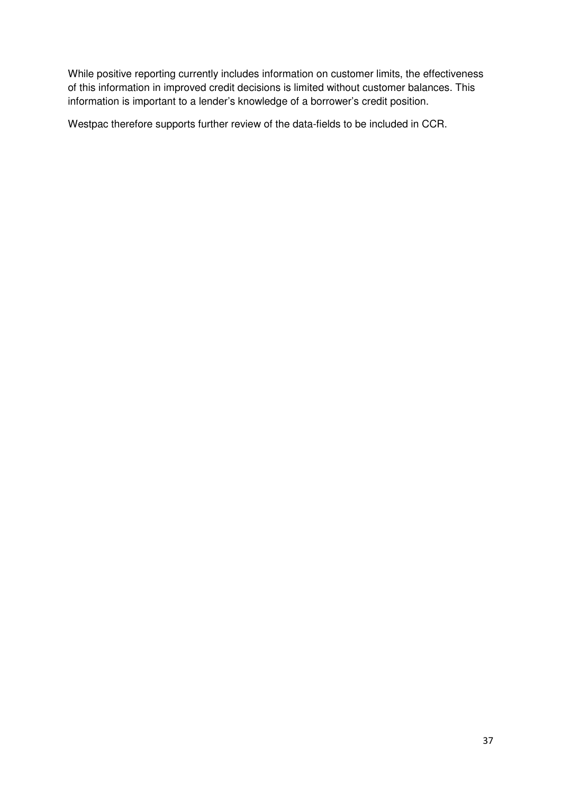While positive reporting currently includes information on customer limits, the effectiveness of this information in improved credit decisions is limited without customer balances. This information is important to a lender's knowledge of a borrower's credit position.

Westpac therefore supports further review of the data-fields to be included in CCR.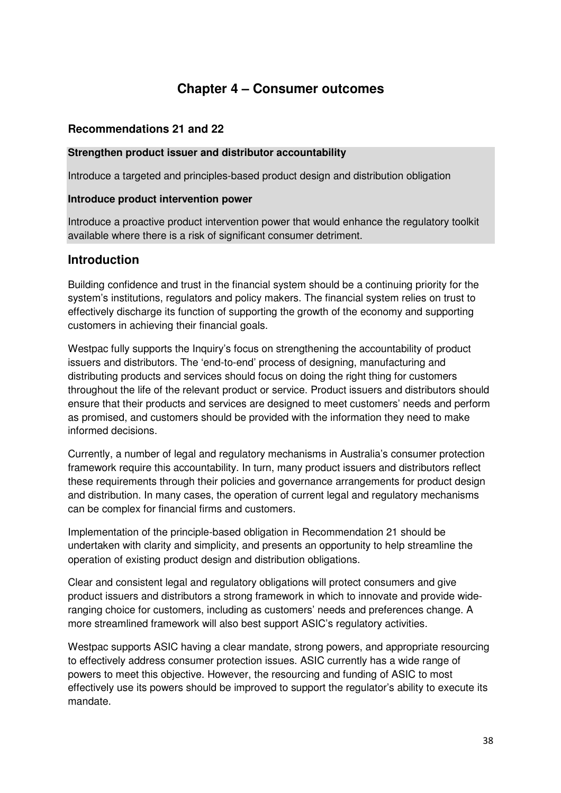# **Chapter 4 – Consumer outcomes**

### **Recommendations 21 and 22**

#### **Strengthen product issuer and distributor accountability**

Introduce a targeted and principles-based product design and distribution obligation

#### **Introduce product intervention power**

Introduce a proactive product intervention power that would enhance the regulatory toolkit available where there is a risk of significant consumer detriment.

# **Introduction**

Building confidence and trust in the financial system should be a continuing priority for the system's institutions, regulators and policy makers. The financial system relies on trust to effectively discharge its function of supporting the growth of the economy and supporting customers in achieving their financial goals.

Westpac fully supports the Inquiry's focus on strengthening the accountability of product issuers and distributors. The 'end-to-end' process of designing, manufacturing and distributing products and services should focus on doing the right thing for customers throughout the life of the relevant product or service. Product issuers and distributors should ensure that their products and services are designed to meet customers' needs and perform as promised, and customers should be provided with the information they need to make informed decisions.

Currently, a number of legal and regulatory mechanisms in Australia's consumer protection framework require this accountability. In turn, many product issuers and distributors reflect these requirements through their policies and governance arrangements for product design and distribution. In many cases, the operation of current legal and regulatory mechanisms can be complex for financial firms and customers.

Implementation of the principle-based obligation in Recommendation 21 should be undertaken with clarity and simplicity, and presents an opportunity to help streamline the operation of existing product design and distribution obligations.

Clear and consistent legal and regulatory obligations will protect consumers and give product issuers and distributors a strong framework in which to innovate and provide wideranging choice for customers, including as customers' needs and preferences change. A more streamlined framework will also best support ASIC's regulatory activities.

Westpac supports ASIC having a clear mandate, strong powers, and appropriate resourcing to effectively address consumer protection issues. ASIC currently has a wide range of powers to meet this objective. However, the resourcing and funding of ASIC to most effectively use its powers should be improved to support the regulator's ability to execute its mandate.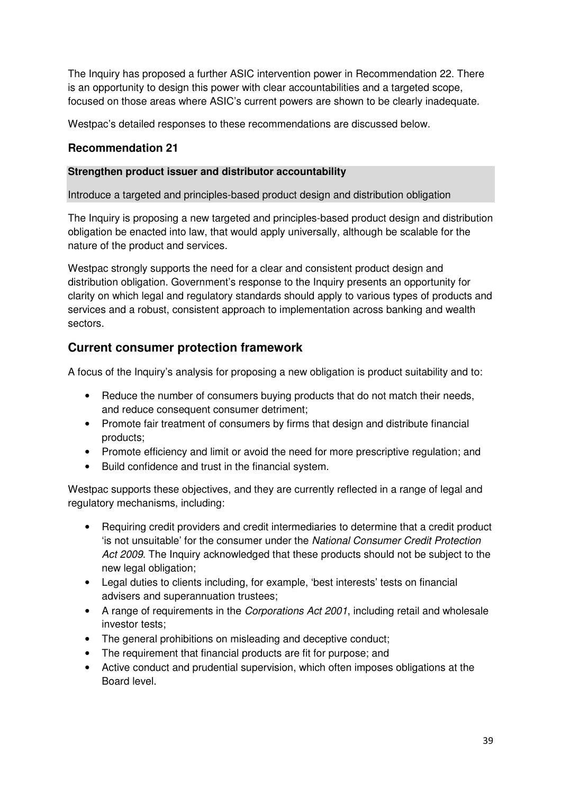The Inquiry has proposed a further ASIC intervention power in Recommendation 22. There is an opportunity to design this power with clear accountabilities and a targeted scope, focused on those areas where ASIC's current powers are shown to be clearly inadequate.

Westpac's detailed responses to these recommendations are discussed below.

# **Recommendation 21**

#### **Strengthen product issuer and distributor accountability**

Introduce a targeted and principles-based product design and distribution obligation

The Inquiry is proposing a new targeted and principles-based product design and distribution obligation be enacted into law, that would apply universally, although be scalable for the nature of the product and services.

Westpac strongly supports the need for a clear and consistent product design and distribution obligation. Government's response to the Inquiry presents an opportunity for clarity on which legal and regulatory standards should apply to various types of products and services and a robust, consistent approach to implementation across banking and wealth sectors.

# **Current consumer protection framework**

A focus of the Inquiry's analysis for proposing a new obligation is product suitability and to:

- Reduce the number of consumers buying products that do not match their needs, and reduce consequent consumer detriment;
- Promote fair treatment of consumers by firms that design and distribute financial products;
- Promote efficiency and limit or avoid the need for more prescriptive regulation; and
- Build confidence and trust in the financial system.

Westpac supports these objectives, and they are currently reflected in a range of legal and regulatory mechanisms, including:

- Requiring credit providers and credit intermediaries to determine that a credit product 'is not unsuitable' for the consumer under the National Consumer Credit Protection Act 2009. The Inquiry acknowledged that these products should not be subject to the new legal obligation;
- Legal duties to clients including, for example, 'best interests' tests on financial advisers and superannuation trustees;
- A range of requirements in the Corporations Act 2001, including retail and wholesale investor tests;
- The general prohibitions on misleading and deceptive conduct;
- The requirement that financial products are fit for purpose; and
- Active conduct and prudential supervision, which often imposes obligations at the Board level.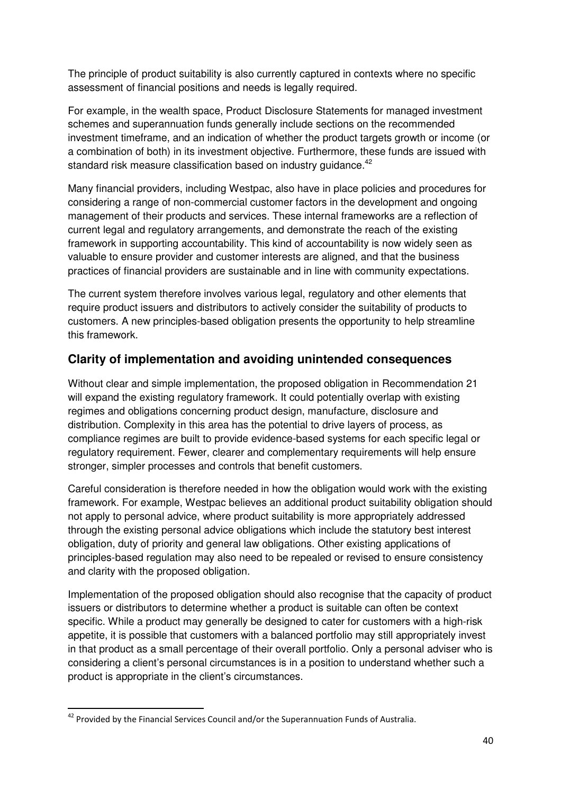The principle of product suitability is also currently captured in contexts where no specific assessment of financial positions and needs is legally required.

For example, in the wealth space, Product Disclosure Statements for managed investment schemes and superannuation funds generally include sections on the recommended investment timeframe, and an indication of whether the product targets growth or income (or a combination of both) in its investment objective. Furthermore, these funds are issued with standard risk measure classification based on industry guidance. $^{42}$ 

Many financial providers, including Westpac, also have in place policies and procedures for considering a range of non-commercial customer factors in the development and ongoing management of their products and services. These internal frameworks are a reflection of current legal and regulatory arrangements, and demonstrate the reach of the existing framework in supporting accountability. This kind of accountability is now widely seen as valuable to ensure provider and customer interests are aligned, and that the business practices of financial providers are sustainable and in line with community expectations.

The current system therefore involves various legal, regulatory and other elements that require product issuers and distributors to actively consider the suitability of products to customers. A new principles-based obligation presents the opportunity to help streamline this framework.

# **Clarity of implementation and avoiding unintended consequences**

Without clear and simple implementation, the proposed obligation in Recommendation 21 will expand the existing regulatory framework. It could potentially overlap with existing regimes and obligations concerning product design, manufacture, disclosure and distribution. Complexity in this area has the potential to drive layers of process, as compliance regimes are built to provide evidence-based systems for each specific legal or regulatory requirement. Fewer, clearer and complementary requirements will help ensure stronger, simpler processes and controls that benefit customers.

Careful consideration is therefore needed in how the obligation would work with the existing framework. For example, Westpac believes an additional product suitability obligation should not apply to personal advice, where product suitability is more appropriately addressed through the existing personal advice obligations which include the statutory best interest obligation, duty of priority and general law obligations. Other existing applications of principles-based regulation may also need to be repealed or revised to ensure consistency and clarity with the proposed obligation.

Implementation of the proposed obligation should also recognise that the capacity of product issuers or distributors to determine whether a product is suitable can often be context specific. While a product may generally be designed to cater for customers with a high-risk appetite, it is possible that customers with a balanced portfolio may still appropriately invest in that product as a small percentage of their overall portfolio. Only a personal adviser who is considering a client's personal circumstances is in a position to understand whether such a product is appropriate in the client's circumstances.

 $42$  Provided by the Financial Services Council and/or the Superannuation Funds of Australia.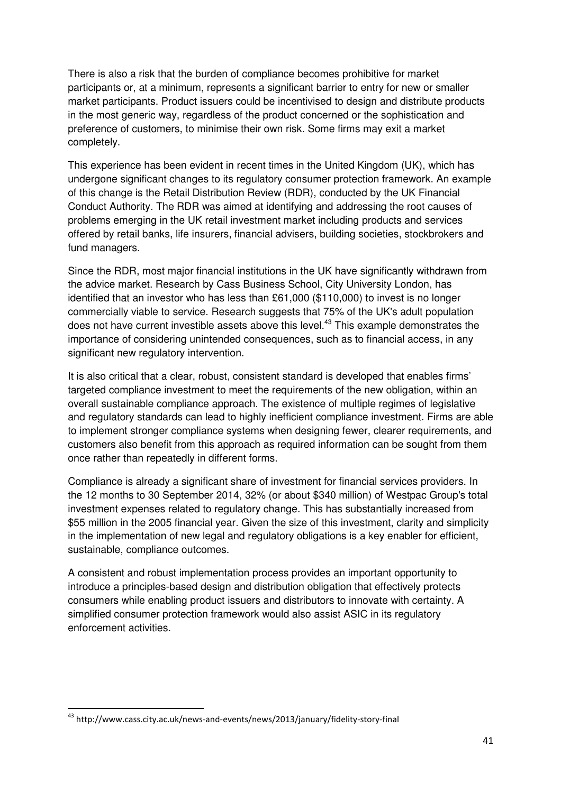There is also a risk that the burden of compliance becomes prohibitive for market participants or, at a minimum, represents a significant barrier to entry for new or smaller market participants. Product issuers could be incentivised to design and distribute products in the most generic way, regardless of the product concerned or the sophistication and preference of customers, to minimise their own risk. Some firms may exit a market completely.

This experience has been evident in recent times in the United Kingdom (UK), which has undergone significant changes to its regulatory consumer protection framework. An example of this change is the Retail Distribution Review (RDR), conducted by the UK Financial Conduct Authority. The RDR was aimed at identifying and addressing the root causes of problems emerging in the UK retail investment market including products and services offered by retail banks, life insurers, financial advisers, building societies, stockbrokers and fund managers.

Since the RDR, most major financial institutions in the UK have significantly withdrawn from the advice market. Research by Cass Business School, City University London, has identified that an investor who has less than £61,000 (\$110,000) to invest is no longer commercially viable to service. Research suggests that 75% of the UK's adult population does not have current investible assets above this level.<sup>43</sup> This example demonstrates the importance of considering unintended consequences, such as to financial access, in any significant new regulatory intervention.

It is also critical that a clear, robust, consistent standard is developed that enables firms' targeted compliance investment to meet the requirements of the new obligation, within an overall sustainable compliance approach. The existence of multiple regimes of legislative and regulatory standards can lead to highly inefficient compliance investment. Firms are able to implement stronger compliance systems when designing fewer, clearer requirements, and customers also benefit from this approach as required information can be sought from them once rather than repeatedly in different forms.

Compliance is already a significant share of investment for financial services providers. In the 12 months to 30 September 2014, 32% (or about \$340 million) of Westpac Group's total investment expenses related to regulatory change. This has substantially increased from \$55 million in the 2005 financial year. Given the size of this investment, clarity and simplicity in the implementation of new legal and regulatory obligations is a key enabler for efficient, sustainable, compliance outcomes.

A consistent and robust implementation process provides an important opportunity to introduce a principles-based design and distribution obligation that effectively protects consumers while enabling product issuers and distributors to innovate with certainty. A simplified consumer protection framework would also assist ASIC in its regulatory enforcement activities.

<sup>43</sup> http://www.cass.city.ac.uk/news-and-events/news/2013/january/fidelity-story-final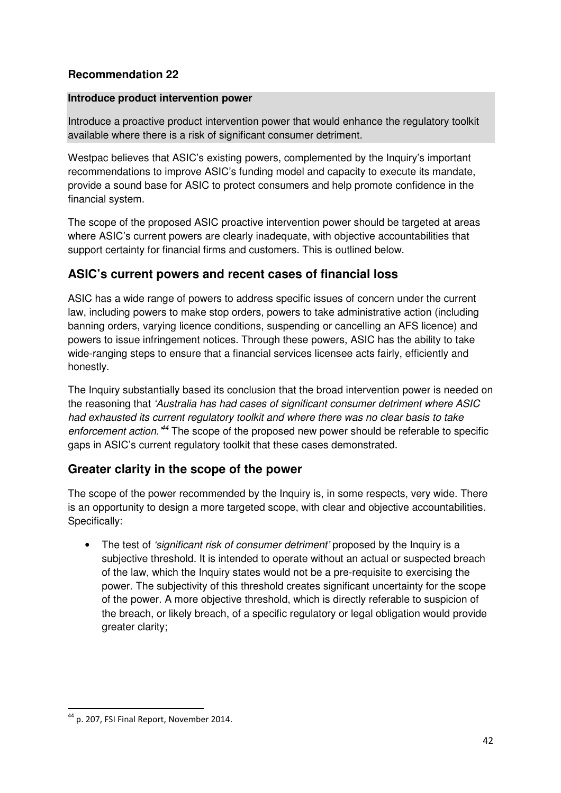# **Recommendation 22**

#### **Introduce product intervention power**

Introduce a proactive product intervention power that would enhance the regulatory toolkit available where there is a risk of significant consumer detriment.

Westpac believes that ASIC's existing powers, complemented by the Inquiry's important recommendations to improve ASIC's funding model and capacity to execute its mandate, provide a sound base for ASIC to protect consumers and help promote confidence in the financial system.

The scope of the proposed ASIC proactive intervention power should be targeted at areas where ASIC's current powers are clearly inadequate, with objective accountabilities that support certainty for financial firms and customers. This is outlined below.

# **ASIC's current powers and recent cases of financial loss**

ASIC has a wide range of powers to address specific issues of concern under the current law, including powers to make stop orders, powers to take administrative action (including banning orders, varying licence conditions, suspending or cancelling an AFS licence) and powers to issue infringement notices. Through these powers, ASIC has the ability to take wide-ranging steps to ensure that a financial services licensee acts fairly, efficiently and honestly.

The Inquiry substantially based its conclusion that the broad intervention power is needed on the reasoning that 'Australia has had cases of significant consumer detriment where ASIC had exhausted its current regulatory toolkit and where there was no clear basis to take enforcement action.<sup>44</sup> The scope of the proposed new power should be referable to specific gaps in ASIC's current regulatory toolkit that these cases demonstrated.

# **Greater clarity in the scope of the power**

The scope of the power recommended by the Inquiry is, in some respects, very wide. There is an opportunity to design a more targeted scope, with clear and objective accountabilities. Specifically:

• The test of *'significant risk of consumer detriment'* proposed by the Inquiry is a subjective threshold. It is intended to operate without an actual or suspected breach of the law, which the Inquiry states would not be a pre-requisite to exercising the power. The subjectivity of this threshold creates significant uncertainty for the scope of the power. A more objective threshold, which is directly referable to suspicion of the breach, or likely breach, of a specific regulatory or legal obligation would provide greater clarity;

<sup>44</sup> p. 207, FSI Final Report, November 2014.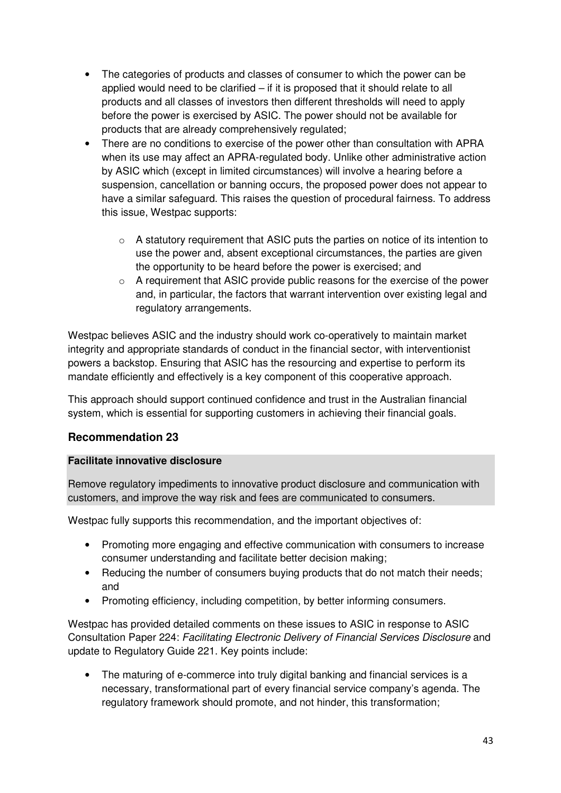- The categories of products and classes of consumer to which the power can be applied would need to be clarified – if it is proposed that it should relate to all products and all classes of investors then different thresholds will need to apply before the power is exercised by ASIC. The power should not be available for products that are already comprehensively regulated;
- There are no conditions to exercise of the power other than consultation with APRA when its use may affect an APRA-regulated body. Unlike other administrative action by ASIC which (except in limited circumstances) will involve a hearing before a suspension, cancellation or banning occurs, the proposed power does not appear to have a similar safeguard. This raises the question of procedural fairness. To address this issue, Westpac supports:
	- o A statutory requirement that ASIC puts the parties on notice of its intention to use the power and, absent exceptional circumstances, the parties are given the opportunity to be heard before the power is exercised; and
	- $\circ$  A requirement that ASIC provide public reasons for the exercise of the power and, in particular, the factors that warrant intervention over existing legal and regulatory arrangements.

Westpac believes ASIC and the industry should work co-operatively to maintain market integrity and appropriate standards of conduct in the financial sector, with interventionist powers a backstop. Ensuring that ASIC has the resourcing and expertise to perform its mandate efficiently and effectively is a key component of this cooperative approach.

This approach should support continued confidence and trust in the Australian financial system, which is essential for supporting customers in achieving their financial goals.

### **Recommendation 23**

#### **Facilitate innovative disclosure**

Remove regulatory impediments to innovative product disclosure and communication with customers, and improve the way risk and fees are communicated to consumers.

Westpac fully supports this recommendation, and the important objectives of:

- Promoting more engaging and effective communication with consumers to increase consumer understanding and facilitate better decision making;
- Reducing the number of consumers buying products that do not match their needs; and
- Promoting efficiency, including competition, by better informing consumers.

Westpac has provided detailed comments on these issues to ASIC in response to ASIC Consultation Paper 224: Facilitating Electronic Delivery of Financial Services Disclosure and update to Regulatory Guide 221. Key points include:

• The maturing of e-commerce into truly digital banking and financial services is a necessary, transformational part of every financial service company's agenda. The regulatory framework should promote, and not hinder, this transformation;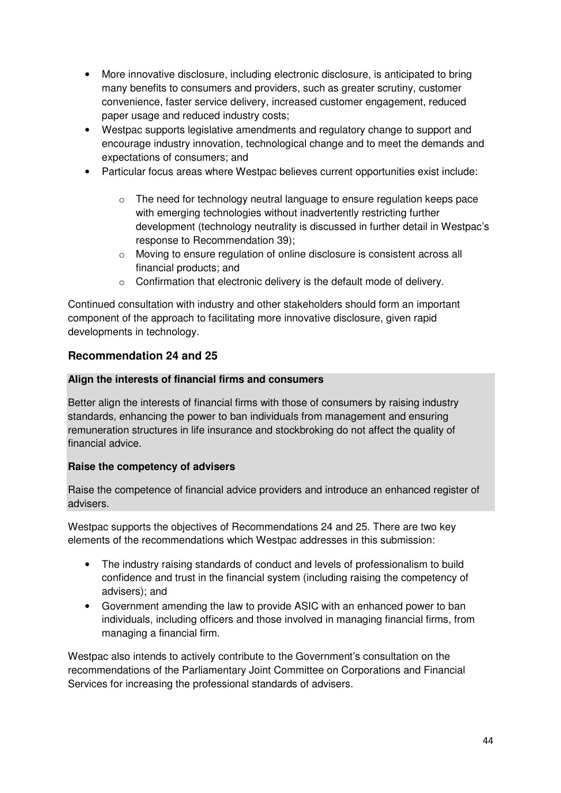- More innovative disclosure, including electronic disclosure, is anticipated to bring many benefits to consumers and providers, such as greater scrutiny, customer convenience, faster service delivery, increased customer engagement, reduced paper usage and reduced industry costs;
- Westpac supports legislative amendments and regulatory change to support and encourage industry innovation, technological change and to meet the demands and expectations of consumers; and
- Particular focus areas where Westpac believes current opportunities exist include:
	- o The need for technology neutral language to ensure regulation keeps pace with emerging technologies without inadvertently restricting further development (technology neutrality is discussed in further detail in Westpac's response to Recommendation 39);
	- o Moving to ensure regulation of online disclosure is consistent across all financial products; and
	- o Confirmation that electronic delivery is the default mode of delivery.

Continued consultation with industry and other stakeholders should form an important component of the approach to facilitating more innovative disclosure, given rapid developments in technology.

### **Recommendation 24 and 25**

#### **Align the interests of financial firms and consumers**

Better align the interests of financial firms with those of consumers by raising industry standards, enhancing the power to ban individuals from management and ensuring remuneration structures in life insurance and stockbroking do not affect the quality of financial advice.

#### **Raise the competency of advisers**

Raise the competence of financial advice providers and introduce an enhanced register of advisers.

Westpac supports the objectives of Recommendations 24 and 25. There are two key elements of the recommendations which Westpac addresses in this submission:

- The industry raising standards of conduct and levels of professionalism to build confidence and trust in the financial system (including raising the competency of advisers); and
- Government amending the law to provide ASIC with an enhanced power to ban individuals, including officers and those involved in managing financial firms, from managing a financial firm.

Westpac also intends to actively contribute to the Government's consultation on the recommendations of the Parliamentary Joint Committee on Corporations and Financial Services for increasing the professional standards of advisers.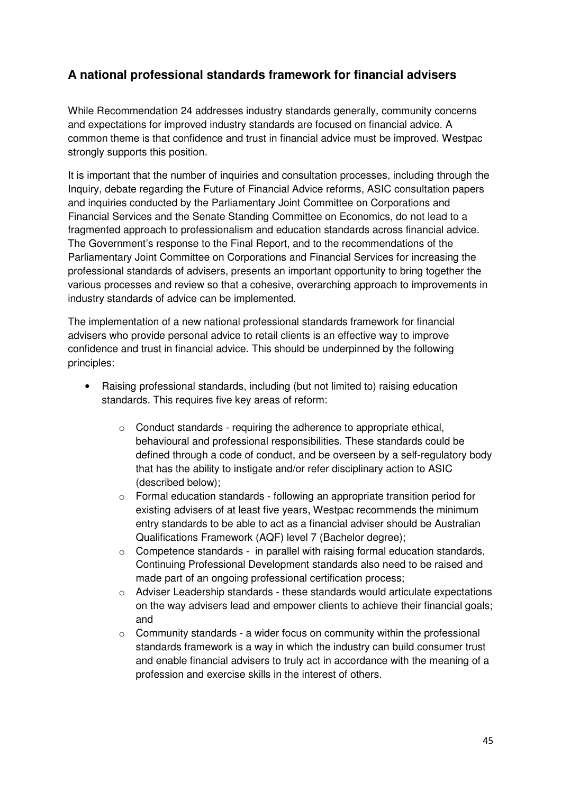# **A national professional standards framework for financial advisers**

While Recommendation 24 addresses industry standards generally, community concerns and expectations for improved industry standards are focused on financial advice. A common theme is that confidence and trust in financial advice must be improved. Westpac strongly supports this position.

It is important that the number of inquiries and consultation processes, including through the Inquiry, debate regarding the Future of Financial Advice reforms, ASIC consultation papers and inquiries conducted by the Parliamentary Joint Committee on Corporations and Financial Services and the Senate Standing Committee on Economics, do not lead to a fragmented approach to professionalism and education standards across financial advice. The Government's response to the Final Report, and to the recommendations of the Parliamentary Joint Committee on Corporations and Financial Services for increasing the professional standards of advisers, presents an important opportunity to bring together the various processes and review so that a cohesive, overarching approach to improvements in industry standards of advice can be implemented.

The implementation of a new national professional standards framework for financial advisers who provide personal advice to retail clients is an effective way to improve confidence and trust in financial advice. This should be underpinned by the following principles:

- Raising professional standards, including (but not limited to) raising education standards. This requires five key areas of reform:
	- $\circ$  Conduct standards requiring the adherence to appropriate ethical, behavioural and professional responsibilities. These standards could be defined through a code of conduct, and be overseen by a self-regulatory body that has the ability to instigate and/or refer disciplinary action to ASIC (described below);
	- o Formal education standards following an appropriate transition period for existing advisers of at least five years, Westpac recommends the minimum entry standards to be able to act as a financial adviser should be Australian Qualifications Framework (AQF) level 7 (Bachelor degree);
	- o Competence standards in parallel with raising formal education standards, Continuing Professional Development standards also need to be raised and made part of an ongoing professional certification process;
	- $\circ$  Adviser Leadership standards these standards would articulate expectations on the way advisers lead and empower clients to achieve their financial goals; and
	- $\circ$  Community standards a wider focus on community within the professional standards framework is a way in which the industry can build consumer trust and enable financial advisers to truly act in accordance with the meaning of a profession and exercise skills in the interest of others.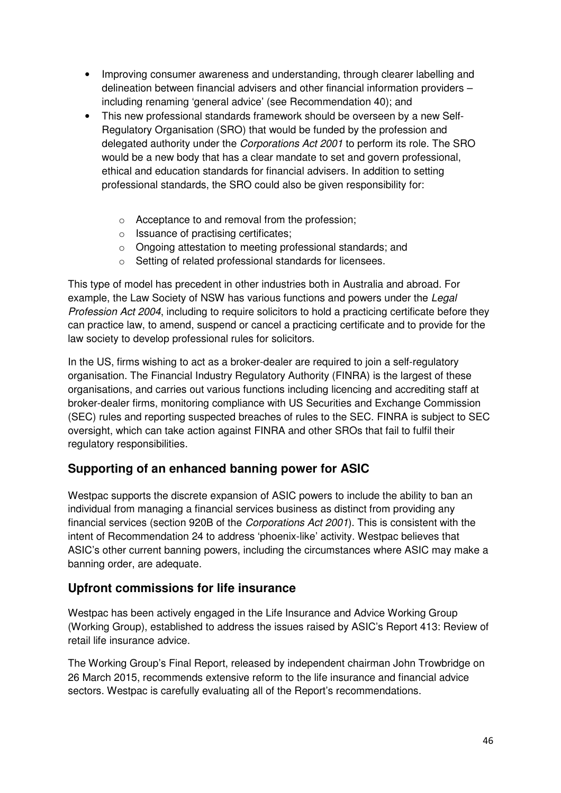- Improving consumer awareness and understanding, through clearer labelling and delineation between financial advisers and other financial information providers – including renaming 'general advice' (see Recommendation 40); and
- This new professional standards framework should be overseen by a new Self-Regulatory Organisation (SRO) that would be funded by the profession and delegated authority under the Corporations Act 2001 to perform its role. The SRO would be a new body that has a clear mandate to set and govern professional, ethical and education standards for financial advisers. In addition to setting professional standards, the SRO could also be given responsibility for:
	- o Acceptance to and removal from the profession;
	- o Issuance of practising certificates;
	- o Ongoing attestation to meeting professional standards; and
	- o Setting of related professional standards for licensees.

This type of model has precedent in other industries both in Australia and abroad. For example, the Law Society of NSW has various functions and powers under the Legal Profession Act 2004, including to require solicitors to hold a practicing certificate before they can practice law, to amend, suspend or cancel a practicing certificate and to provide for the law society to develop professional rules for solicitors.

In the US, firms wishing to act as a broker-dealer are required to join a self-regulatory organisation. The Financial Industry Regulatory Authority (FINRA) is the largest of these organisations, and carries out various functions including licencing and accrediting staff at broker-dealer firms, monitoring compliance with US Securities and Exchange Commission (SEC) rules and reporting suspected breaches of rules to the SEC. FINRA is subject to SEC oversight, which can take action against FINRA and other SROs that fail to fulfil their regulatory responsibilities.

# **Supporting of an enhanced banning power for ASIC**

Westpac supports the discrete expansion of ASIC powers to include the ability to ban an individual from managing a financial services business as distinct from providing any financial services (section 920B of the Corporations Act 2001). This is consistent with the intent of Recommendation 24 to address 'phoenix-like' activity. Westpac believes that ASIC's other current banning powers, including the circumstances where ASIC may make a banning order, are adequate.

# **Upfront commissions for life insurance**

Westpac has been actively engaged in the Life Insurance and Advice Working Group (Working Group), established to address the issues raised by ASIC's Report 413: Review of retail life insurance advice.

The Working Group's Final Report, released by independent chairman John Trowbridge on 26 March 2015, recommends extensive reform to the life insurance and financial advice sectors. Westpac is carefully evaluating all of the Report's recommendations.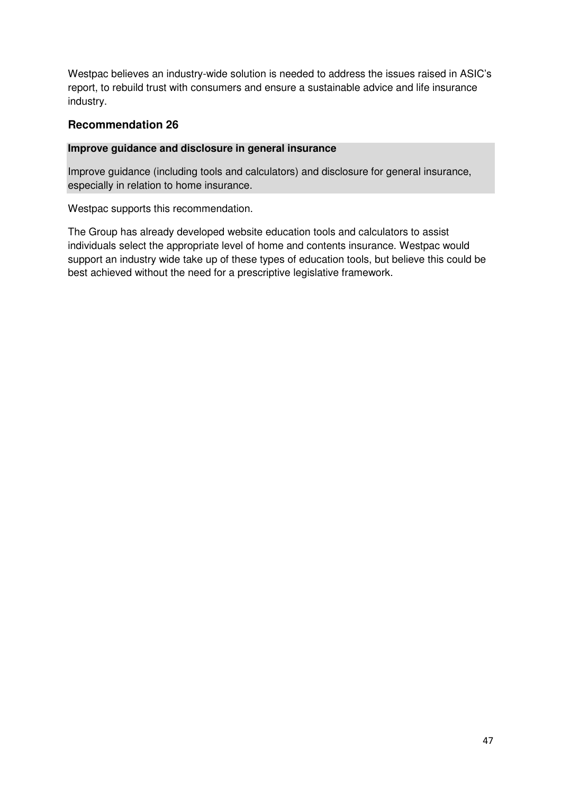Westpac believes an industry-wide solution is needed to address the issues raised in ASIC's report, to rebuild trust with consumers and ensure a sustainable advice and life insurance industry.

#### **Recommendation 26**

#### **Improve guidance and disclosure in general insurance**

Improve guidance (including tools and calculators) and disclosure for general insurance, especially in relation to home insurance.

Westpac supports this recommendation.

The Group has already developed website education tools and calculators to assist individuals select the appropriate level of home and contents insurance. Westpac would support an industry wide take up of these types of education tools, but believe this could be best achieved without the need for a prescriptive legislative framework.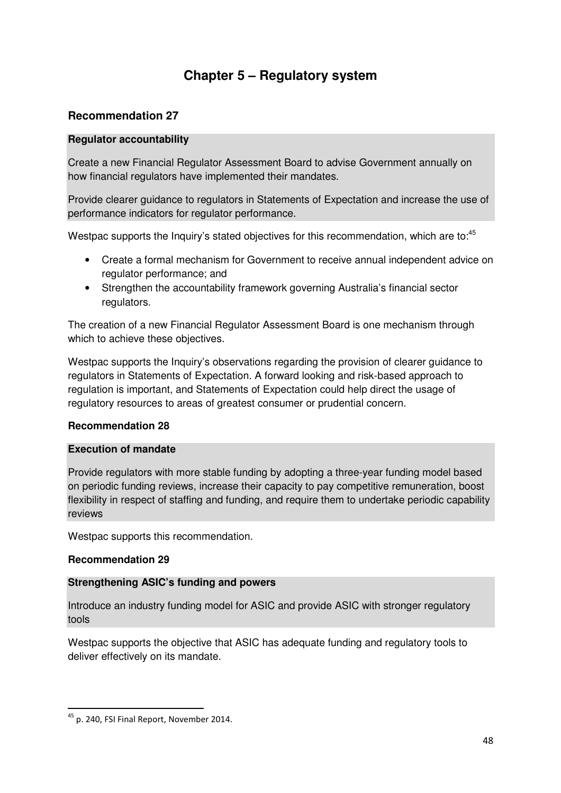# **Chapter 5 – Regulatory system**

# **Recommendation 27**

#### **Regulator accountability**

Create a new Financial Regulator Assessment Board to advise Government annually on how financial regulators have implemented their mandates.

Provide clearer guidance to regulators in Statements of Expectation and increase the use of performance indicators for regulator performance.

Westpac supports the Inquiry's stated objectives for this recommendation, which are to:<sup>45</sup>

- Create a formal mechanism for Government to receive annual independent advice on regulator performance; and
- Strengthen the accountability framework governing Australia's financial sector regulators.

The creation of a new Financial Regulator Assessment Board is one mechanism through which to achieve these objectives.

Westpac supports the Inquiry's observations regarding the provision of clearer guidance to regulators in Statements of Expectation. A forward looking and risk-based approach to regulation is important, and Statements of Expectation could help direct the usage of regulatory resources to areas of greatest consumer or prudential concern.

#### **Recommendation 28**

#### **Execution of mandate**

Provide regulators with more stable funding by adopting a three-year funding model based on periodic funding reviews, increase their capacity to pay competitive remuneration, boost flexibility in respect of staffing and funding, and require them to undertake periodic capability reviews

Westpac supports this recommendation.

#### **Recommendation 29**

 $\overline{a}$ 

#### **Strengthening ASIC's funding and powers**

Introduce an industry funding model for ASIC and provide ASIC with stronger regulatory tools

Westpac supports the objective that ASIC has adequate funding and regulatory tools to deliver effectively on its mandate.

<sup>45</sup> p. 240, FSI Final Report, November 2014.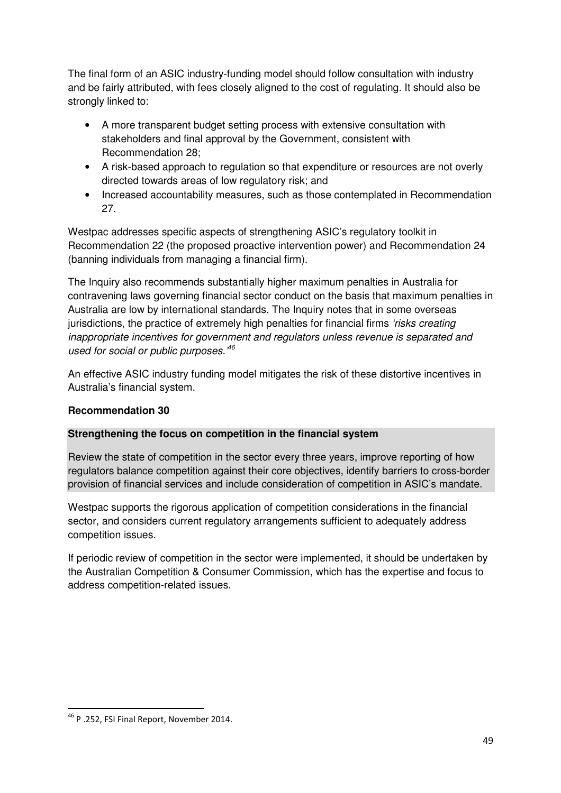The final form of an ASIC industry-funding model should follow consultation with industry and be fairly attributed, with fees closely aligned to the cost of regulating. It should also be strongly linked to:

- A more transparent budget setting process with extensive consultation with stakeholders and final approval by the Government, consistent with Recommendation 28;
- A risk-based approach to regulation so that expenditure or resources are not overly directed towards areas of low regulatory risk; and
- Increased accountability measures, such as those contemplated in Recommendation 27.

Westpac addresses specific aspects of strengthening ASIC's regulatory toolkit in Recommendation 22 (the proposed proactive intervention power) and Recommendation 24 (banning individuals from managing a financial firm).

The Inquiry also recommends substantially higher maximum penalties in Australia for contravening laws governing financial sector conduct on the basis that maximum penalties in Australia are low by international standards. The Inquiry notes that in some overseas jurisdictions, the practice of extremely high penalties for financial firms 'risks creating inappropriate incentives for government and regulators unless revenue is separated and used for social or public purposes. $46$ 

An effective ASIC industry funding model mitigates the risk of these distortive incentives in Australia's financial system.

### **Recommendation 30**

#### **Strengthening the focus on competition in the financial system**

Review the state of competition in the sector every three years, improve reporting of how regulators balance competition against their core objectives, identify barriers to cross-border provision of financial services and include consideration of competition in ASIC's mandate.

Westpac supports the rigorous application of competition considerations in the financial sector, and considers current regulatory arrangements sufficient to adequately address competition issues.

If periodic review of competition in the sector were implemented, it should be undertaken by the Australian Competition & Consumer Commission, which has the expertise and focus to address competition-related issues.

<sup>46</sup> P .252, FSI Final Report, November 2014.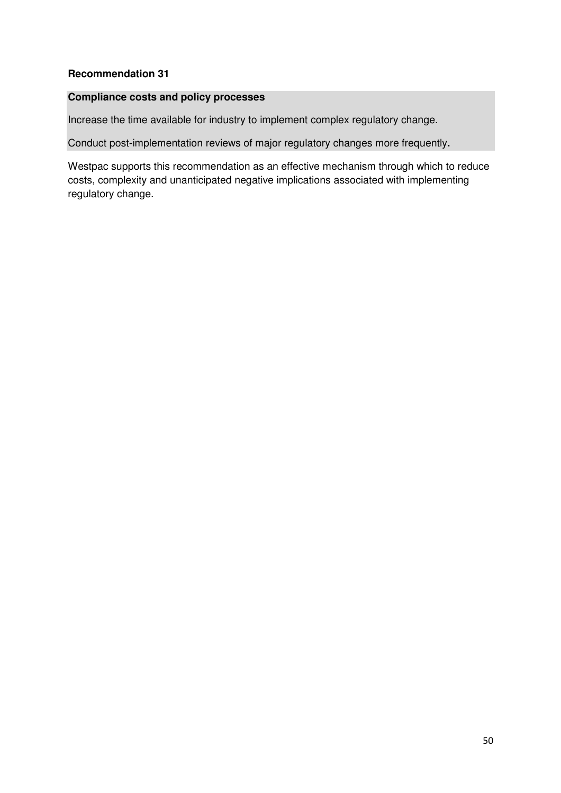### **Recommendation 31**

#### **Compliance costs and policy processes**

Increase the time available for industry to implement complex regulatory change.

Conduct post-implementation reviews of major regulatory changes more frequently**.** 

Westpac supports this recommendation as an effective mechanism through which to reduce costs, complexity and unanticipated negative implications associated with implementing regulatory change.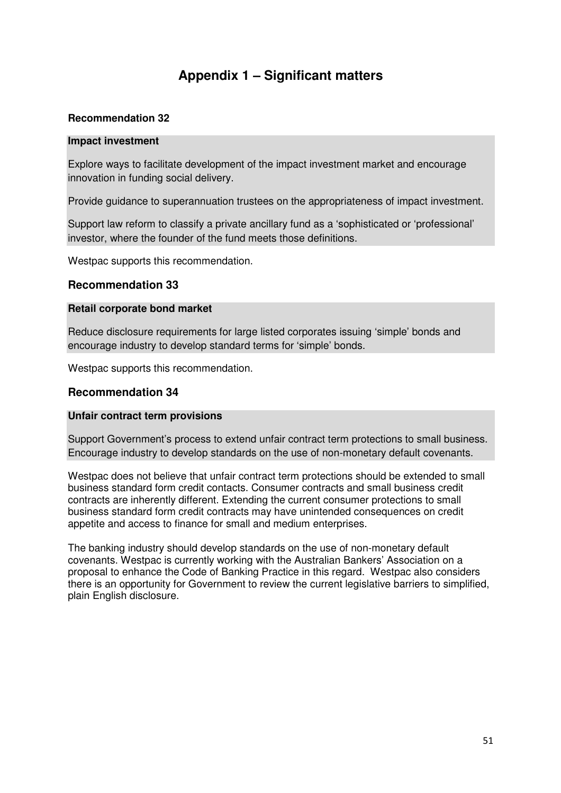# **Appendix 1 – Significant matters**

#### **Recommendation 32**

#### **Impact investment**

Explore ways to facilitate development of the impact investment market and encourage innovation in funding social delivery.

Provide guidance to superannuation trustees on the appropriateness of impact investment.

Support law reform to classify a private ancillary fund as a 'sophisticated or 'professional' investor, where the founder of the fund meets those definitions.

Westpac supports this recommendation.

#### **Recommendation 33**

#### **Retail corporate bond market**

Reduce disclosure requirements for large listed corporates issuing 'simple' bonds and encourage industry to develop standard terms for 'simple' bonds.

Westpac supports this recommendation.

#### **Recommendation 34**

#### **Unfair contract term provisions**

Support Government's process to extend unfair contract term protections to small business. Encourage industry to develop standards on the use of non-monetary default covenants.

Westpac does not believe that unfair contract term protections should be extended to small business standard form credit contacts. Consumer contracts and small business credit contracts are inherently different. Extending the current consumer protections to small business standard form credit contracts may have unintended consequences on credit appetite and access to finance for small and medium enterprises.

The banking industry should develop standards on the use of non-monetary default covenants. Westpac is currently working with the Australian Bankers' Association on a proposal to enhance the Code of Banking Practice in this regard. Westpac also considers there is an opportunity for Government to review the current legislative barriers to simplified, plain English disclosure.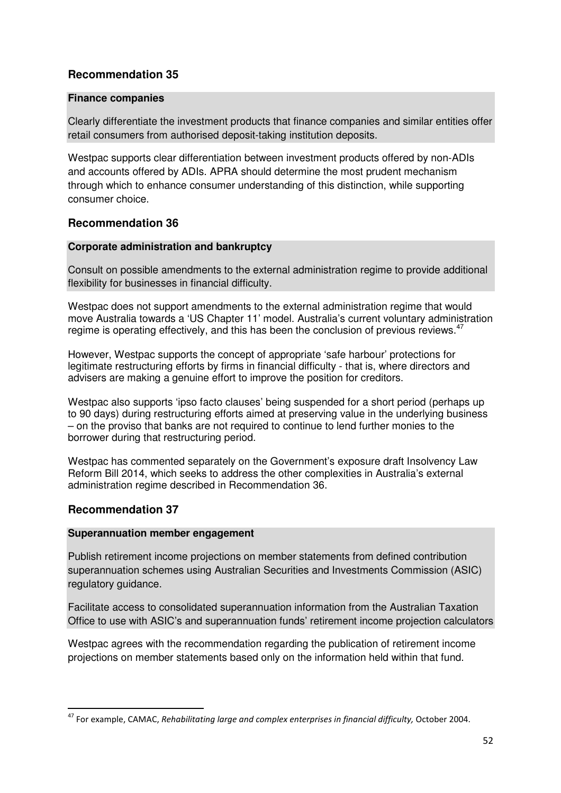### **Recommendation 35**

#### **Finance companies**

Clearly differentiate the investment products that finance companies and similar entities offer retail consumers from authorised deposit-taking institution deposits.

Westpac supports clear differentiation between investment products offered by non-ADIs and accounts offered by ADIs. APRA should determine the most prudent mechanism through which to enhance consumer understanding of this distinction, while supporting consumer choice.

### **Recommendation 36**

#### **Corporate administration and bankruptcy**

Consult on possible amendments to the external administration regime to provide additional flexibility for businesses in financial difficulty.

Westpac does not support amendments to the external administration regime that would move Australia towards a 'US Chapter 11' model. Australia's current voluntary administration regime is operating effectively, and this has been the conclusion of previous reviews. $47$ 

However, Westpac supports the concept of appropriate 'safe harbour' protections for legitimate restructuring efforts by firms in financial difficulty - that is, where directors and advisers are making a genuine effort to improve the position for creditors.

Westpac also supports 'ipso facto clauses' being suspended for a short period (perhaps up to 90 days) during restructuring efforts aimed at preserving value in the underlying business – on the proviso that banks are not required to continue to lend further monies to the borrower during that restructuring period.

Westpac has commented separately on the Government's exposure draft Insolvency Law Reform Bill 2014, which seeks to address the other complexities in Australia's external administration regime described in Recommendation 36.

### **Recommendation 37**

 $\overline{a}$ 

#### **Superannuation member engagement**

Publish retirement income projections on member statements from defined contribution superannuation schemes using Australian Securities and Investments Commission (ASIC) regulatory guidance.

Facilitate access to consolidated superannuation information from the Australian Taxation Office to use with ASIC's and superannuation funds' retirement income projection calculators

Westpac agrees with the recommendation regarding the publication of retirement income projections on member statements based only on the information held within that fund.

<sup>&</sup>lt;sup>47</sup> For example, CAMAC, Rehabilitating large and complex enterprises in financial difficulty, October 2004.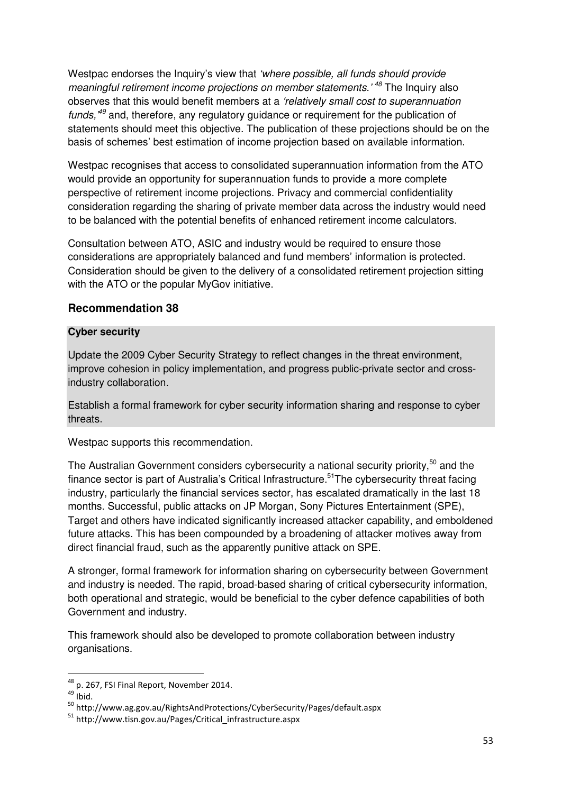Westpac endorses the Inquiry's view that 'where possible, all funds should provide meaningful retirement income projections on member statements.<sup>'48</sup> The Inquiry also observes that this would benefit members at a 'relatively small cost to superannuation funds,  $49$  and, therefore, any regulatory guidance or requirement for the publication of statements should meet this objective. The publication of these projections should be on the basis of schemes' best estimation of income projection based on available information.

Westpac recognises that access to consolidated superannuation information from the ATO would provide an opportunity for superannuation funds to provide a more complete perspective of retirement income projections. Privacy and commercial confidentiality consideration regarding the sharing of private member data across the industry would need to be balanced with the potential benefits of enhanced retirement income calculators.

Consultation between ATO, ASIC and industry would be required to ensure those considerations are appropriately balanced and fund members' information is protected. Consideration should be given to the delivery of a consolidated retirement projection sitting with the ATO or the popular MyGov initiative.

#### **Recommendation 38**

#### **Cyber security**

Update the 2009 Cyber Security Strategy to reflect changes in the threat environment, improve cohesion in policy implementation, and progress public-private sector and crossindustry collaboration.

Establish a formal framework for cyber security information sharing and response to cyber threats.

Westpac supports this recommendation.

The Australian Government considers cybersecurity a national security priority,<sup>50</sup> and the finance sector is part of Australia's Critical Infrastructure.<sup>51</sup>The cybersecurity threat facing industry, particularly the financial services sector, has escalated dramatically in the last 18 months. Successful, public attacks on JP Morgan, Sony Pictures Entertainment (SPE), Target and others have indicated significantly increased attacker capability, and emboldened future attacks. This has been compounded by a broadening of attacker motives away from direct financial fraud, such as the apparently punitive attack on SPE.

A stronger, formal framework for information sharing on cybersecurity between Government and industry is needed. The rapid, broad-based sharing of critical cybersecurity information, both operational and strategic, would be beneficial to the cyber defence capabilities of both Government and industry.

This framework should also be developed to promote collaboration between industry organisations.

 $\overline{\phantom{0}}$ 

<sup>&</sup>lt;sup>48</sup> p. 267, FSI Final Report, November 2014.

 $49$  Ibid.

<sup>50</sup> http://www.ag.gov.au/RightsAndProtections/CyberSecurity/Pages/default.aspx

<sup>51</sup> http://www.tisn.gov.au/Pages/Critical\_infrastructure.aspx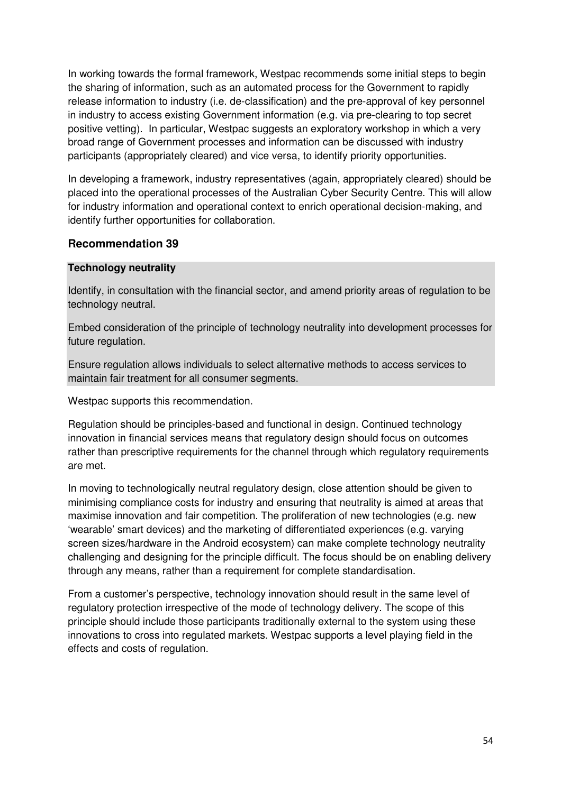In working towards the formal framework, Westpac recommends some initial steps to begin the sharing of information, such as an automated process for the Government to rapidly release information to industry (i.e. de-classification) and the pre-approval of key personnel in industry to access existing Government information (e.g. via pre-clearing to top secret positive vetting). In particular, Westpac suggests an exploratory workshop in which a very broad range of Government processes and information can be discussed with industry participants (appropriately cleared) and vice versa, to identify priority opportunities.

In developing a framework, industry representatives (again, appropriately cleared) should be placed into the operational processes of the Australian Cyber Security Centre. This will allow for industry information and operational context to enrich operational decision-making, and identify further opportunities for collaboration.

### **Recommendation 39**

#### **Technology neutrality**

Identify, in consultation with the financial sector, and amend priority areas of regulation to be technology neutral.

Embed consideration of the principle of technology neutrality into development processes for future regulation.

Ensure regulation allows individuals to select alternative methods to access services to maintain fair treatment for all consumer segments.

Westpac supports this recommendation.

Regulation should be principles-based and functional in design. Continued technology innovation in financial services means that regulatory design should focus on outcomes rather than prescriptive requirements for the channel through which regulatory requirements are met.

In moving to technologically neutral regulatory design, close attention should be given to minimising compliance costs for industry and ensuring that neutrality is aimed at areas that maximise innovation and fair competition. The proliferation of new technologies (e.g. new 'wearable' smart devices) and the marketing of differentiated experiences (e.g. varying screen sizes/hardware in the Android ecosystem) can make complete technology neutrality challenging and designing for the principle difficult. The focus should be on enabling delivery through any means, rather than a requirement for complete standardisation.

From a customer's perspective, technology innovation should result in the same level of regulatory protection irrespective of the mode of technology delivery. The scope of this principle should include those participants traditionally external to the system using these innovations to cross into regulated markets. Westpac supports a level playing field in the effects and costs of regulation.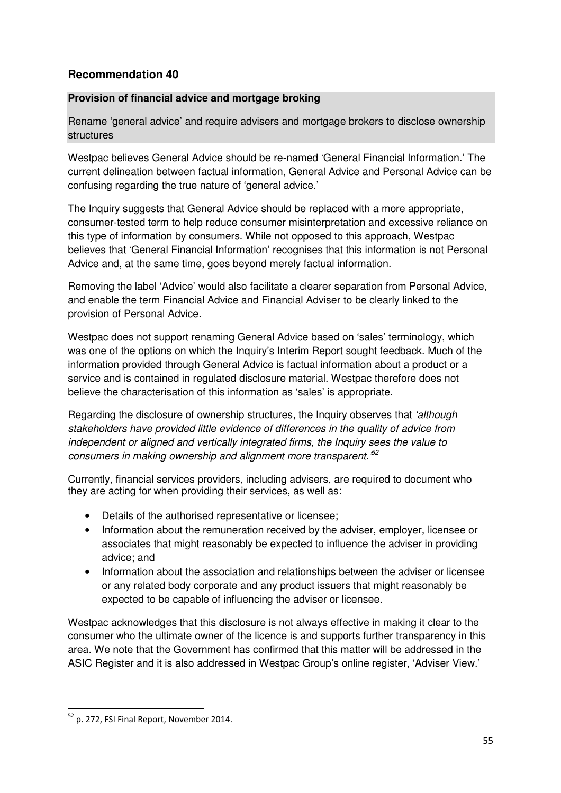# **Recommendation 40**

### **Provision of financial advice and mortgage broking**

Rename 'general advice' and require advisers and mortgage brokers to disclose ownership structures

Westpac believes General Advice should be re-named 'General Financial Information.' The current delineation between factual information, General Advice and Personal Advice can be confusing regarding the true nature of 'general advice.'

The Inquiry suggests that General Advice should be replaced with a more appropriate, consumer-tested term to help reduce consumer misinterpretation and excessive reliance on this type of information by consumers. While not opposed to this approach, Westpac believes that 'General Financial Information' recognises that this information is not Personal Advice and, at the same time, goes beyond merely factual information.

Removing the label 'Advice' would also facilitate a clearer separation from Personal Advice, and enable the term Financial Advice and Financial Adviser to be clearly linked to the provision of Personal Advice.

Westpac does not support renaming General Advice based on 'sales' terminology, which was one of the options on which the Inquiry's Interim Report sought feedback. Much of the information provided through General Advice is factual information about a product or a service and is contained in regulated disclosure material. Westpac therefore does not believe the characterisation of this information as 'sales' is appropriate.

Regarding the disclosure of ownership structures, the Inquiry observes that 'although stakeholders have provided little evidence of differences in the quality of advice from independent or aligned and vertically integrated firms, the Inquiry sees the value to consumers in making ownership and alignment more transparent.<sup>52</sup>

Currently, financial services providers, including advisers, are required to document who they are acting for when providing their services, as well as:

- Details of the authorised representative or licensee;
- Information about the remuneration received by the adviser, employer, licensee or associates that might reasonably be expected to influence the adviser in providing advice; and
- Information about the association and relationships between the adviser or licensee or any related body corporate and any product issuers that might reasonably be expected to be capable of influencing the adviser or licensee.

Westpac acknowledges that this disclosure is not always effective in making it clear to the consumer who the ultimate owner of the licence is and supports further transparency in this area. We note that the Government has confirmed that this matter will be addressed in the ASIC Register and it is also addressed in Westpac Group's online register, 'Adviser View.'

<sup>52</sup> p. 272, FSI Final Report, November 2014.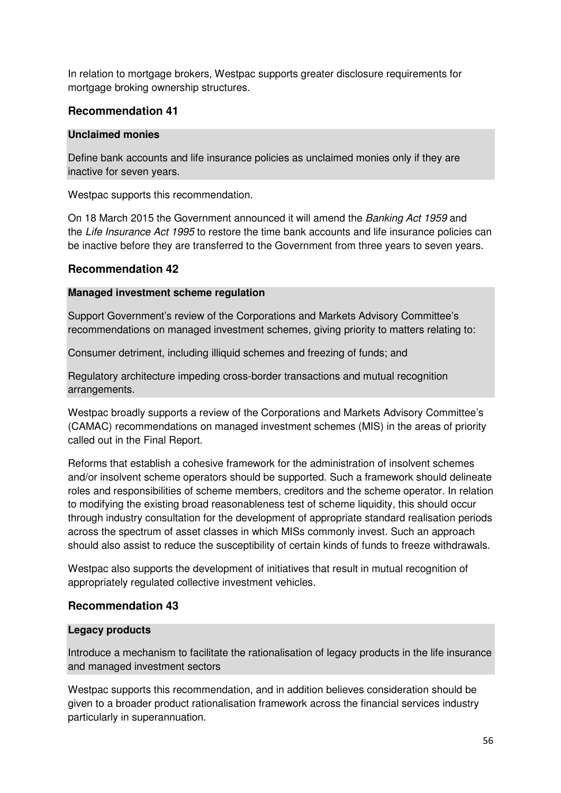In relation to mortgage brokers, Westpac supports greater disclosure requirements for mortgage broking ownership structures.

### **Recommendation 41**

#### **Unclaimed monies**

Define bank accounts and life insurance policies as unclaimed monies only if they are inactive for seven years.

Westpac supports this recommendation.

On 18 March 2015 the Government announced it will amend the Banking Act 1959 and the Life Insurance Act 1995 to restore the time bank accounts and life insurance policies can be inactive before they are transferred to the Government from three years to seven years.

### **Recommendation 42**

#### **Managed investment scheme regulation**

Support Government's review of the Corporations and Markets Advisory Committee's recommendations on managed investment schemes, giving priority to matters relating to:

Consumer detriment, including illiquid schemes and freezing of funds; and

Regulatory architecture impeding cross-border transactions and mutual recognition arrangements.

Westpac broadly supports a review of the Corporations and Markets Advisory Committee's (CAMAC) recommendations on managed investment schemes (MIS) in the areas of priority called out in the Final Report.

Reforms that establish a cohesive framework for the administration of insolvent schemes and/or insolvent scheme operators should be supported. Such a framework should delineate roles and responsibilities of scheme members, creditors and the scheme operator. In relation to modifying the existing broad reasonableness test of scheme liquidity, this should occur through industry consultation for the development of appropriate standard realisation periods across the spectrum of asset classes in which MISs commonly invest. Such an approach should also assist to reduce the susceptibility of certain kinds of funds to freeze withdrawals.

Westpac also supports the development of initiatives that result in mutual recognition of appropriately regulated collective investment vehicles.

#### **Recommendation 43**

#### **Legacy products**

Introduce a mechanism to facilitate the rationalisation of legacy products in the life insurance and managed investment sectors

Westpac supports this recommendation, and in addition believes consideration should be given to a broader product rationalisation framework across the financial services industry particularly in superannuation.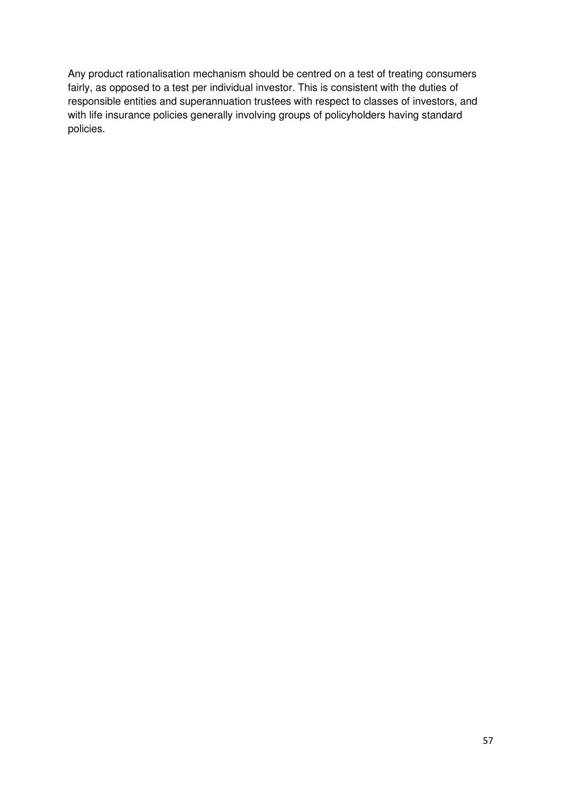Any product rationalisation mechanism should be centred on a test of treating consumers fairly, as opposed to a test per individual investor. This is consistent with the duties of responsible entities and superannuation trustees with respect to classes of investors, and with life insurance policies generally involving groups of policyholders having standard policies.